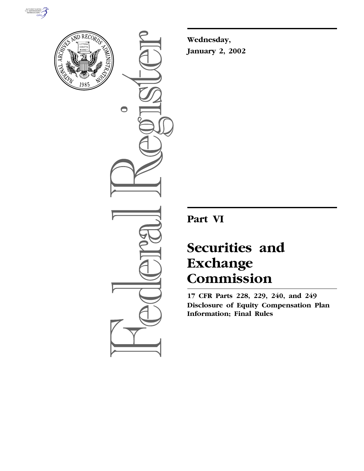



 $\bullet$ 

**Wednesday, January 2, 2002**

**Part VI**

# **Securities and Exchange Commission**

**17 CFR Parts 228, 229, 240, and 249 Disclosure of Equity Compensation Plan Information; Final Rules**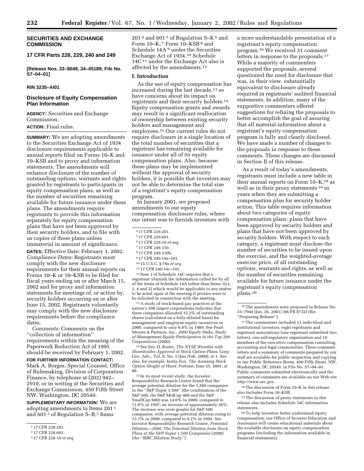## **SECURITIES AND EXCHANGE COMMISSION**

## **17 CFR Parts 228, 229, 240 and 249**

**[Release Nos. 33–8048, 34–45189; File No. S7–04–01]** 

#### **RIN 3235–AI01**

#### **Disclosure of Equity Compensation Plan Information**

**AGENCY:** Securities and Exchange Commission.

**ACTION:** Final rules.

**SUMMARY:** We are adopting amendments to the Securities Exchange Act of 1934 disclosure requirements applicable to annual reports filed on Forms 10–K and 10–KSB and to proxy and information statements. The amendments will enhance disclosure of the number of outstanding options, warrants and rights granted by registrants to participants in equity compensation plans, as well as the number of securities remaining available for future issuance under these plans. The amendments require registrants to provide this information separately for equity compensation plans that have not been approved by their security holders, and to file with us copies of these plans unless immaterial in amount of significance.

**DATES:** Effective Date: February 1, 2002. *Compliance Dates:* Registrants must comply with the new disclosure requirements for their annual reports on Forms 10–K or 10–KSB to be filed for fiscal years ending on or after March 15, 2002 and for proxy and information statements for meetings of, or action by, security holders occurring on or after June 15, 2002. Registrants voluntarily may comply with the new disclosure requirements before the compliance dates.

*Comments:* Comments on the ''collection of information'' requirements within the meaning of the Paperwork Reduction Act of 1995 should be received by February 1, 2002.

**FOR FURTHER INFORMATION CONTACT:** Mark A. Borges, Special Counsel, Office of Rulemaking, Division of Corporation Finance, by telephone at (202) 942– 2910, or in writing at the Securities and Exchange Commission, 450 Fifth Street NW, Washington, DC 20549.

**SUPPLEMENTARY INFORMATION:** We are adopting amendments to Items 201 1 and 601<sup>2</sup> of Regulation S–B,<sup>3</sup> Items

201<sup>4</sup> and 601<sup>5</sup> of Regulation S–K<sup>6</sup> and Form  $10–K$ ,  $7$  Form  $10–KSB$ <sup>8</sup> and Schedule 14A 9 under the Securities Exchange Act of 1934.10 Schedule 14C<sup>11</sup> under the Exchange Act also is affected by the amendments.<sup>12</sup>

#### **I. Introduction**

As the use of equity compensation has increased during the last decade,<sup>13</sup> so have concerns about its impact on registrants and their security holders.14 Equity compensation grants and awards may result in a significant reallocation of ownership between existing security holders and management and employees.15 Our current rules do not require disclosure in a single location of the total number of securities that a registrant has remaining available for issuance under all of its equity compensation plans. Also, because these plans may be implemented without the approval of security holders, it is possible that investors may not be able to determine the total size of a registrant's equity compensation program.

In January 2001, we proposed amendments to our equity compensation disclosure rules, where our intent was to furnish investors with

6 17 CFR 229.10 *et seq.*

- 8 17 CFR 249.310b.
- 9 17 CFR 240.14a–101.
- 10 15 U.S.C. § 78a *et seq.*
- 11 17 CFR 240.14c–101.

12 Item 1 of Schedule 14C requires that a registrant yfurnish the information called for by all of the items of Schedule 14A (other than Items 1(c), 2, 4 and 5) which would be applicable to any matter to be acted upon at the meeting if proxies were to be solicited in connection with the meeting.

13A study of stock-based pay practices at the nation's 200 largest corporations indicates that these companies allocated 15.2% of outstanding shares (calculated on a fully-diluted basis) for management and employee equity incentives in 2000, compared to only 6.9% in 1989. See Pearl Meyers & Partners, Inc., *2000 Equity Stake, Study of Management Equity Participation in the Top 200 Corporations* (2000).

14See Eric D. Roiter, *The NYSE Wrestles with Shareholder Approval of Stock Option Plans*, Corp. Gov. Adv., Vol. 8, No. 1 (Jan./Feb. 2000), at 1. See also, for example, Justin Fox, *The Amazing Stock Option Sleight of Hand*, Fortune, June 25, 2001, at 86.

 $^{\rm 15}\!$  In its most recent study, the Investor Responsibility Research Center found that the average potential dilution for the 1,500 companies in the ''S&P Super 1,500'' (the combination of the S&P 500, the S&P MidCap 400 and the S&P SmallCap 600) was 14.6% in 2000, compared to 11.6% in 1997; an increase of approximately 26%. The increase was even greater for S&P 500 companies, with average potential dilution rising to 13.1% in 2000, compared to 9.2% in 1995. See Investor Responsibility Research Center, *Potential Dilution—2000, The Potential Dilution from Stock Plans at the S&P Super 1,500 Companies* (2000) (the ''IRRC Dilution Study'').

a more understandable presentation of a registrant's equity compensation program.16 We received 31 comment letters in response to the proposals.<sup>17</sup> While a majority of commenters supported the proposals, several questioned the need for disclosure that was, in their view, substantially equivalent to disclosure already required in registrants' audited financial statements. In addition, many of the supportive commenters offered suggestions for refining the proposals to better accomplish the goal of assuring that all material information about a registrant's equity compensation program is fully and clearly disclosed. We have made a number of changes to the proposals in response to these comments. These changes are discussed in Section II of this release.

As a result of today's amendments, registrants must include a new table in their annual reports on Form 10–K,18 as well as in their proxy statements 19 in years when they are submitting a compensation plan for security holder action. This table requires information about two categories of equity compensation plans: plans that have been approved by security holders and plans that have not been approved by security holders. With respect to each category, a registrant must disclose the number of securities to be issued upon the exercise, and the weighted-average exercise price, of all outstanding options, warrants and rights, as well as the number of securities remaining available for future issuance under the registrant's equity compensation plans.20

16The amendments were proposed in Release No. 33–7944 (Jan. 26, 2001) [66 FR 8732] (the ''Proposing Release'').

17The commenters included 11 individual and institutional investors, eight registrants and registrant associations (one registrant submitted two letters), one self-regulatory organization and 10 members of the executive compensation consulting, accounting and legal communities. These comment letters and a summary of comments prepared by our staff are available for public inspection and copying in our Public Reference Room, 450 Fifth Street, NW, Washington, DC 20549, in File No. S7–04–01. Public comments submitted electronically and the summary of comments are available on our Web site *http://www.sec.gov*.

18The discussion of Form 10–K in this release also includes Form 10–KSB.

19The discussion of proxy statements in this release also includes Schedule 14C information statements.

20To help investors better understand equity compensation, our Office of Investor Education and Assistance will create educational materials about the available disclosure on equity compensation programs (including the information available in financial statements).

<sup>1</sup> 17 CFR 228.201.

<sup>2</sup> 17 CFR 228.601.

<sup>3</sup> 17 CFR 228.10 *et seq.*

<sup>4</sup> 17 CFR 229.201.

<sup>5</sup> 17 CFR 229.601.

<sup>7</sup> 17 CFR 249.310.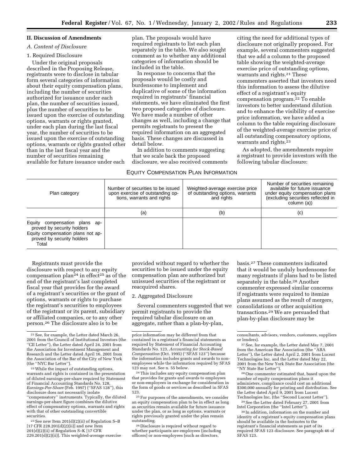#### **II. Discussion of Amendments**

#### *A. Content of Disclosure*

## 1. Required Disclosure

Under the original proposals described in the Proposing Release, registrants were to disclose in tabular form several categories of information about their equity compensation plans, including the number of securities authorized for issuance under each plan, the number of securities issued, plus the number of securities to be issued upon the exercise of outstanding options, warrants or rights granted, under each plan during the last fiscal year, the number of securities to be issued upon the exercise of outstanding options, warrants or rights granted other than in the last fiscal year and the number of securities remaining available for future issuance under each

plan. The proposals would have required registrants to list each plan separately in the table. We also sought comment as to whether any additional categories of information should be included in the table.

In response to concerns that the proposals would be costly and burdensome to implement and duplicative of some of the information required in registrants' financial statements, we have eliminated the first two proposed categories of disclosure. We have made a number of other changes as well, including a change that permits registrants to present the required information on an aggregated basis. These changes are discussed in detail below.

In addition to comments suggesting that we scale back the proposed disclosure, we also received comments

# EQUITY COMPENSATION PLAN INFORMATION

citing the need for additional types of disclosure not originally proposed. For example, several commenters suggested that we add a column to the proposed table showing the weighted-average exercise price of outstanding options, warrants and rights.<sup>21</sup> These commenters asserted that investors need this information to assess the dilutive effect of a registrant's equity compensation program.22 To enable investors to better understand dilution and to enhance the visibility of exercise price information, we have added a column to the table requiring disclosure of the weighted-average exercise price of all outstanding compensatory options, warrants and rights.23

As adopted, the amendments require a registrant to provide investors with the following tabular disclosure:

| Plan category                                                                                                                              | Number of securities to be issued<br>upon exercise of outstanding op-<br>tions, warrants and rights | Weighted-average exercise price<br>of outstanding options, warrants<br>and rights | Number of securities remaining<br>available for future issuance<br>under equity compensation plans<br>(excluding securities reflected in<br>column (a)) |
|--------------------------------------------------------------------------------------------------------------------------------------------|-----------------------------------------------------------------------------------------------------|-----------------------------------------------------------------------------------|---------------------------------------------------------------------------------------------------------------------------------------------------------|
|                                                                                                                                            | (a)                                                                                                 | (b)                                                                               | (c)                                                                                                                                                     |
| Equity<br>compensation plans ap-<br>proved by security holders<br>Equity compensation plans not ap-<br>proved by security holders<br>Total |                                                                                                     |                                                                                   |                                                                                                                                                         |

Registrants must provide the disclosure with respect to any equity compensation plan<sup>24</sup> in effect<sup>25</sup> as of the end of the registrant's last completed fiscal year that provides for the award of a registrant's securities or the grant of options, warrants or rights to purchase the registrant's securities to employees of the registrant or its parent, subsidiary or affiliated companies, or to any other person.26 The disclosure also is to be

22While the impact of outstanding options, warrants and rights is contained in the presentation of diluted earnings-per-share required by Statement of Financial Accounting Standards No. 128, *Earnings-Per-Share* (Feb. 1997) (''SFAS 128''), this disclosure does not necessarily isolate ''compensatory'' instruments. Typically, the diluted earnings-per-share figure combines the dilutive effect of compensatory options, warrants and rights with that of other outstanding convertible securities.

 $23$  See new Item  $201(d)(2)(ii)$  of Regulation S–B [17 CFR 228.201(d)(2)(ii)] and new Item 201(d)(2)(ii) of Regulation S–K [17 CFR 229.201(d)(2)(ii)]. This weighted-average exercise

provided without regard to whether the securities to be issued under the equity compensation plan are authorized but unissued securities of the registrant or reacquired shares.

#### 2. Aggregated Disclosure

Several commenters suggested that we permit registrants to provide the required tabular disclosure on an aggregate, rather than a plan-by-plan,

24This includes any equity compensation plan that provides for grants and awards to employees or non-employees in exchange for consideration in the form of goods or services as described in SFAS 123.

<sup>25</sup> For purposes of the amendments, we consider an equity compensation plan to be in effect as long as securities remain available for future issuance under the plan, or as long as options, warrants or rights previously granted under the plan remain outstanding.

26 Disclosure is required without regard to whether participants are employees (including officers) or non-employees (such as directors,

basis.27 These commenters indicated that it would be unduly burdensome for many registrants if plans had to be listed separately in the table.28 Another commenter expressed similar concerns if registrants were required to itemize plans assumed as the result of mergers, consolidations or other acquisition transactions.29 We are persuaded that plan-by-plan disclosure may be

28One commenter estimated that, based upon the number of equity compensation plans it administers, compliance could cost an additional \$300,000 annually for printing and distribution. See the Letter dated April 9, 2001 from Lucent Technologies Inc. (the ''Second Lucent Letter'').

<sup>29</sup> See the Letter dated February 27, 2001 from<br>Intel Corporation (the "Intel Letter").

<sup>30</sup> In addition, information on the number and identity of a registrant's equity compensation plans should be available in the footnotes to the registrant's financial statements as part of its required SFAS 123 disclosure. See paragraph 46 of SFAS 123.

<sup>21</sup>See, for example, the Letter dated March 26, 2001 from the Council of Institutional Investors (the ''CII Letter''), the Letter dated April 24, 2001 from the Association for Investment Management and Research and the Letter dated April 16, 2001 from the Association of the Bar of the City of New York (the ''NYC Bar Letter'').

price information may be different from that contained in a registrant's financial statements as required by Statement of Financial Accounting Standards No. 123, *Accounting for Stock-Based Compensation* (Oct. 1995) (''SFAS 123'') because the information includes grants and awards to nonemployees while the information required by SFAS 123 may not. See n. 55 below.

consultants, advisors, vendors, customers, suppliers or lenders).

<sup>27</sup>See, for example, the Letter dated May 7, 2001 from the American Bar Association (the ''ABA Letter''), the Letter dated April 2, 2001 from Lucent Technologies Inc. and the Letter dated May 22, 2001 from the New York State Bar Association (the ''NY State Bar Letter'').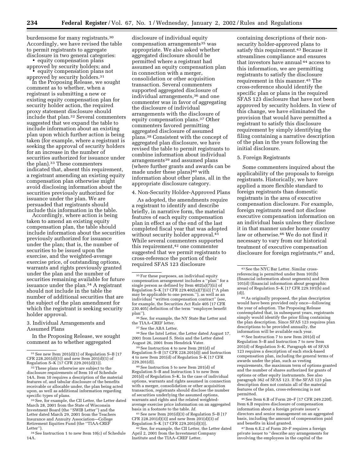burdensome for many registrants.30 Accordingly, we have revised the table to permit registrants to aggregate disclosure in two general categories: • equity compensation plans

approved by security holders; and • equity compensation plans not

approved by security holders.<sup>31</sup> In the Proposing Release, we sought comment as to whether, when a registrant is submitting a new or existing equity compensation plan for security holder action, the required proxy statement disclosure should include that plan.32 Several commenters suggested that we expand the table to include information about an existing plan upon which further action is being taken (for example, where a registrant is seeking the approval of security holders for an increase in the number of securities authorized for issuance under the plan).33 These commenters indicated that, absent this requirement, a registrant amending an existing equity compensation plan otherwise might avoid disclosing information about the securities previously authorized for issuance under the plan. We are persuaded that registrants should include this information in the table.

Accordingly, where action is being taken to amend an existing equity compensation plan, the table should include information about the securities previously authorized for issuance under the plan; that is, the number of securities to be issued upon the exercise, and the weighted-average exercise price, of outstanding options, warrants and rights previously granted under the plan and the number of securities remaining available for future issuance under the plan.34 A registrant should not include in the table the number of additional securities that are the subject of the plan amendment for which the registrant is seeking security holder approval.

3. Individual Arrangements and Assumed Plans

In the Proposing Release, we sought comment as to whether aggregated

33See, for example, the CII Letter, the Letter dated March 28, 2001 from the State of Wisconsin Investment Board (the ''SWIB Letter'') and the Letter dated March 29, 2001 from the Teachers Insurance and Annuity Association—College Retirement Equities Fund (the ''TIAA-CREF Letter'').

34See Instruction 1 to new Item 10(c) of Schedule 14A.

disclosure of individual equity compensation arrangements<sup>35</sup> was appropriate. We also asked whether aggregated disclosure should be permitted where a registrant had assumed an equity compensation plan in connection with a merger, consolidation or other acquisition transaction. Several commenters supported aggregated disclosure of individual arrangements,36 and one commenter was in favor of aggregating the disclosure of individual arrangements with the disclosure of equity compensation plans.37 Other commenters favored permitting aggregated disclosure of assumed plans.38 Consistent with the concept of aggregated plan disclosure, we have revised the table to permit registrants to combine information about individual arrangements39 and assumed plans (where further grants and awards can be made under these plans)<sup>40</sup> with information about other plans, all in the appropriate disclosure category.

4. Non-Security Holder-Approved Plans

As adopted, the amendments require a registrant to identify and describe briefly, in narrative form, the material features of each equity compensation plan in effect as of the end of the last completed fiscal year that was adopted without security holder approval.<sup>41</sup> While several commenters supported this requirement,42 one commenter suggested that we permit registrants to cross-reference the portion of their required SFAS 123 disclosure

36See, for example, the NY State Bar Letter and the TIAA–CREF letter.

37See the ABA Letter.

38See the Intel Letter, the Letter dated August 17, 2001 from Leonard S. Stein and the Letter dated August 26, 2001 from Hendrick Vater.

39See Instruction 4 to new Item 201(d) of Regulation S–B [17 CFR 228.201(d)] and Instruction 4 to new Item 201(d) of Regulation S–K [17 CFR 229.201(d)].

40See Instruction 5 to new Item 201(d) of Regulation S–B and Instruction 5 to new Item 201(d) of Regulation S–K. In the case of individual options, warrants and rights assumed in connection with a merger, consolidation or other acquisition transaction, registrants should disclose the number of securities underlying the assumed options, warrants and rights and the related weightedaverage exercise price information on an aggregated basis in a footnote to the table. *Id.*

41See new Item 201(d)(3) of Regulation S–B [17 CFR 228.201(d)(3)] and new Item 201(d)(3) of Regulation S–K [17 CFR 229.201(d)(3)].

42See, for example, the CII Letter, the Letter dated April 2, 2001 from the Investment Company Institute and the TIAA–CREF Letter.

containing descriptions of their nonsecurity holder-approved plans to satisfy this requirement.<sup>43</sup> Because it streamlines compliance and ensures that investors have annual 44 access to this information, we are permitting registrants to satisfy the disclosure requirement in this manner.45 The cross-reference should identify the specific plan or plans in the required SFAS 123 disclosure that have not been approved by security holders. In view of this change, we have eliminated the provision that would have permitted a registrant to satisfy this disclosure requirement by simply identifying the filing containing a narrative description of the plan in the years following the initial disclosure.

## 5. Foreign Registrants

Some commenters inquired about the applicability of the proposals to foreign registrants. Historically, we have applied a more flexible standard to foreign registrants than domestic registrants in the area of executive compensation disclosure. For example, foreign registrants need not disclose executive compensation information on an individual basis unless they disclose it in that manner under home country law or otherwise.46 We do not find it necessary to vary from our historical treatment of executive compensation disclosure for foreign registrants,<sup>47</sup> and,

44As originally proposed, the plan description would have been provided only once—following the year of adoption. The Proposing Release contemplated that, in subsequent years, registrants simply would identify the prior filing containing the plan description. Since SFAS 123 requires plan descriptions to be provided annually, the information will be available each year.

45See Instruction 7 to new Item 201(d) of Regulation S–B and Instruction 7 to new Item 201(d) of Regulation S–K. Paragraph 46 of SFAS 123 requires a description of each stock-based compensation plan, including the general terms of awards under the plan, such as vesting requirements, the maximum term of options granted and the number of shares authorized for grants of options or other equity instruments. See also paragraph 362 of SFAS 123. If the SFAS 123 plan description does not contain all of the material features of the plan, cross-referencing is not permitted.

46See Item 6.B of Form 20–F [17 CFR 249.220f]. Item 6.B requires disclosure of compensation information about a foreign private issuer's directors and senior management on an aggregated basis, including the amount of compensation paid and benefits in kind granted.

47 Item 6.E.2 of Form 20–F requires a foreign private issuer to ''describe any arrangements for involving the employees in the capital of the

<sup>31</sup>See new Item 201(d)(1) of Regulation S–B [17 CFR 228.201(d)(1)] and new Item 201(d)(1) of Regulation S–K [17 CFR 229.201(d)(1)].

<sup>&</sup>lt;sup>32</sup>These plans otherwise are subject to the disclosure requirements of Item 10 of Schedule 14A. Item 10 requires a description of the material features of, and tabular disclosure of the benefits receivable or allocable under, the plan being acted upon, as well as additional information regarding specific types of plans.

<sup>&</sup>lt;sup>35</sup> For these purposes, an individual equity compensation arrangement includes a ''plan'' for a single person as defined by Item  $402(a)(7)(ii)$  of Regulation S–K [17 CFR 229.402(a)(7)(ii)] (''A plan may be applicable to one person.''), as well as an individual ''written compensation contract'' (see, for example, the Securities Act Rule 405 [17 CFR 230.405] definition of the term ''employee benefit plan'').

<sup>43</sup>See the NYC Bar Letter. Similar crossreferencing is permitted under Item 101(b) (financial information about segments) and Item 101(d) (financial information about geographic areas) of Regulation S–K [17 CFR 229.101(b) and (d)].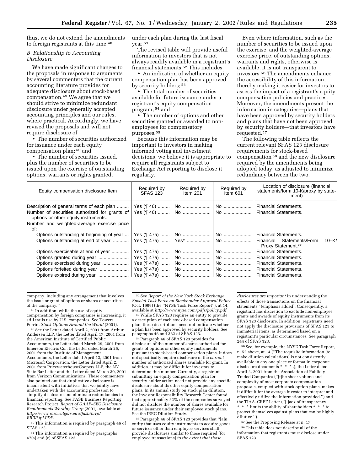thus, we do not extend the amendments to foreign registrants at this time.48

## *B. Relationship to Accounting Disclosure*

We have made significant changes to the proposals in response to arguments by several commenters that the current accounting literature provides for adequate disclosure about stock-based compensation.49 We agree that we should strive to minimize redundant disclosure under generally accepted accounting principles and our rules, where practical. Accordingly, we have revised the proposals and will not require disclosure of

• The number of securities authorized for issuance under each equity compensation plan; 50 and

• The number of securities issued, plus the number of securities to be issued upon the exercise of outstanding options, warrants or rights granted,

under each plan during the last fiscal year.51

The revised table will provide useful information to investors that is not always readily available in a registrant's financial statements.52 This includes

• An indication of whether an equity compensation plan has been approved by security holders; 53

• The total number of securities available for future issuance under a registrant's equity compensation program; 54 and

• The number of options and other securities granted or awarded to nonemployees for compensatory purposes.55

Because this information may be important to investors in making informed voting and investment decisions, we believe it is appropriate to require all registrants subject to Exchange Act reporting to disclose it regularly.

Even where information, such as the number of securities to be issued upon the exercise, and the weighted-average exercise price, of outstanding options, warrants and rights, otherwise is available, it is not transparent to investors.56 The amendments enhance the accessibility of this information, thereby making it easier for investors to assess the impact of a registrant's equity compensation policies and practices. Moreover, the amendments present the information in categories—plans that have been approved by security holders and plans that have not been approved by security holders—that investors have requested.57

The following table reflects the current relevant SFAS 123 disclosure requirements for stock-based compensation 58 and the new disclosure required by the amendments being adopted today, as adjusted to minimize redundancy between the two.

| Equity compensation disclosure Item               | Required by<br><b>SFAS 123</b> | Required by<br>Item 201 | Required by<br>Item 601 | Location of disclosure (financial<br>statements/form 10-K/proxy by state-<br>ment) |
|---------------------------------------------------|--------------------------------|-------------------------|-------------------------|------------------------------------------------------------------------------------|
| Number of securities authorized for grants of     |                                |                         |                         | <b>Financial Statements.</b>                                                       |
| options or other equity instruments.              |                                |                         |                         |                                                                                    |
| Number and weighted-average exercise price<br>of: |                                |                         |                         |                                                                                    |
| Options outstanding at beginning of year          |                                |                         |                         |                                                                                    |
|                                                   |                                |                         |                         | $10 - K/$<br>Financial Statements/Form<br><b>Proxy Statement.**</b>                |
| Options exercisable at end of year                |                                |                         |                         | <b>Financial Statements.</b>                                                       |
|                                                   |                                |                         |                         | <b>Financial Statements.</b>                                                       |
|                                                   |                                |                         |                         |                                                                                    |
| Options forfeited during year                     |                                |                         |                         |                                                                                    |
|                                                   |                                |                         |                         |                                                                                    |

company, including any arrangement that involves the issue or grant of options or shares or securities of the company.

48 In addition, while the use of equity compensation by foreign companies is increasing, it still trails use by U.S. companies. See Towers Perrin, *Stock Options Around the World* (2001).

49See the Letter dated April 2, 2001 from Arthur Andersen LLP, the Letter dated April 17, 2001 from the American Institute of Certified Public Accountants, the Letter dated March 29, 2001 from Emerson Electric Co., the Letter dated March 26, 2001 from the Institute of Management Accountants, the Letter dated April 12, 2001 from Microsoft Corporation, the Letter dated April 2, 2001 from PricewaterhouseCoopers LLP, the NY State Bar Letter and the Letter dated March 30, 2001 from Verizon Communications. These commenters also pointed out that duplicative disclosure is inconsistent with initiatives that we jointly have undertaken with the accounting profession to simplify disclosure and eliminate redundancies in financial reporting. See FASB Business Reporting Research Project, *Report of GAAP–SEC Disclosure Requirements Working Group* (2001), available at *http://www.rarc.rutgers.edu/fasb/brrp/ BRRP3pl.PDF.*

50This information is required by paragraph 46 of SFAS 123.

51This information is required by paragraphs 47(a) and (c) of SFAS 123.

52See *Report of the New York Stock Exchange Special Task Force on Stockholder Approval Policy* (Oct. 1999) (the ''NYSE Task Force Report''), at 14, available at *http://www.nyse.com/pdfs/policy.pdf.*

53While SFAS 123 requires an entity to provide a description of each stock-based compensation plan, these descriptions need not indicate whether a plan has been approved by security holders. See paragraphs 46 and 362 of SFAS 123.

54Paragraph 46 of SFAS 123 provides for disclosure of the number of shares authorized for grants of options or other equity instruments pursuant to stock-based compensation plans. It does not specifically require disclosure of the *current* number of authorized shares available for grant. In addition, it may be difficult for investors to determine this number. Currently, a registrant submitting an equity compensation plan for security holder action need not provide any specific disclosure about its other equity compensation plans. In its annual study on stock plan dilution, the Investor Responsibility Research Center found that approximately 22% of the companies surveyed did not disclose the number of shares available for future issuance under their employee stock plans. See the IRRC Dilution Study.

55Paragraph 46 of SFAS 123 provides that ''[a]n entity that uses equity instruments to acquire goods or services other than employee services shall provide disclosures similar to those required [for employee transactions] *to the extent that those* 

*disclosures are important* in understanding the effects of those transactions on the financial statements'' (emphasis added). Consequently, a registrant has discretion to exclude non-employee grants and awards of equity instruments from its SFAS 123 disclosure. In addition, registrants need not apply the disclosure provisions of SFAS 123 to immaterial items, as determined based on a registrant's particular circumstances. See paragraph 244 of SFAS 123.

56See, for example, the NYSE Task Force Report, n. 52 above, at 14 (''The requisite information [to make dilution calculations] is not consistently available in any one place or format in corporate disclosure documents \* \* \* .), the Letter dated April 2, 2001 from the Association of Publicly Traded Companies (''[t]he sheer volume and complexity of most corporate compensation proposals, coupled with stock option plans, makes it difficult for the average investor to interpret and effectively utilize the information provided.'') and the TIAA–CREF Letter (''[l]ack of transparency \* \* \* limits the ability of shareholders \* \* \* to

protect themselves against plans that can be highly dilutive.'').

57See the Proposing Release at n. 17.

58This table does not describe all of the information that registrants must disclose under SFAS 123.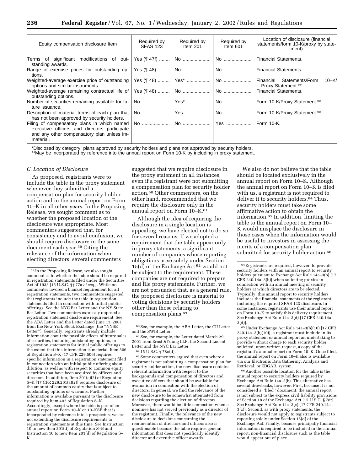| Equity compensation disclosure Item                                                                     | Required by<br><b>SFAS 123</b> | Required by<br>Item $201$ | Required by<br>Item 601 | Location of disclosure (financial<br>statements/form 10-K/proxy by state-<br>ment) |
|---------------------------------------------------------------------------------------------------------|--------------------------------|---------------------------|-------------------------|------------------------------------------------------------------------------------|
| standing awards.                                                                                        |                                |                           |                         |                                                                                    |
| tions.                                                                                                  |                                |                           |                         |                                                                                    |
| options and similar instruments.                                                                        |                                |                           |                         | 10–K<br><b>Proxy Statement.**</b>                                                  |
| outstanding options.                                                                                    |                                |                           |                         |                                                                                    |
| ture issuance.                                                                                          |                                |                           |                         |                                                                                    |
| has not been approved by security holders.                                                              |                                |                           |                         |                                                                                    |
| executive officers and directors participate<br>and any other compensatory plan unless im-<br>material. |                                |                           |                         |                                                                                    |

\*Disclosed by category: plans approved by security holders and plans not approved by security holders.

\*\*May be incorporated by reference into the annual report on Form 10-K by including in proxy statement.

#### *C. Location of Disclosure*

As proposed, registrants were to include the table in the proxy statement whenever they submitted a compensation plan for security holder action and in the annual report on Form 10–K in all other years. In the Proposing Release, we sought comment as to whether the proposed location of the disclosure was appropriate. Most commenters suggested that, for consistency and to avoid confusion, we should require disclosure in the same document each year.59 Citing the relevance of the information when electing directors, several commenters

suggested that we require disclosure in the proxy statement in all instances, even if a registrant were not submitting a compensation plan for security holder action.60 Other commenters, on the other hand, recommended that we require the disclosure only in the annual report on Form 10–K.61

Although the idea of requiring the disclosure in a single location is appealing, we have elected not to do so for several reasons. If we adopted a requirement that the table appear only in proxy statements, a significant number of companies whose reporting obligations arise solely under Section 15(d) of the Exchange Act  $62$  would not be subject to the requirement. These companies are not required to prepare and file proxy statements. Further, we are not persuaded that, as a general rule, the proposed disclosure is material to voting decisions by security holders other than those relating to compensation plans.63

 $^{63}\rm{Some}\;components$  argued that even where a registrant is not submitting a compensation plan for security holder action, the new disclosure contains relevant information with respect to the backgrounds and compensation of directors and executive officers that should be available for evaluation in connection with the election of directors. In general, we find the relevance of the new disclosure to be somewhat attenuated from decisions regarding the election of directors. Moreover, there would be little connection when a nominee has not served previously as a director of the registrant. Finally, the relevance of the new disclosure to decisions concerning the remuneration of directors and officers also is questionable because the table requires general information that does not specifically identify director and executive officer awards.

We also do not believe that the table should be located exclusively in the annual report on Form 10–K. Although the annual report on Form 10–K is filed with us, a registrant is not required to deliver it to security holders.64 Thus, security holders must take some affirmative action to obtain the information.65 In addition, limiting the table to the annual report on Form 10– K would misplace the disclosure in those cases when the information would be useful to investors in assessing the merits of a compensation plan submitted for security holder action.<sup>66</sup>

66Another possible location for the table is the annual report to security holders required by Exchange Act Rule 14a–3(b). This alternative has several drawbacks, however. First, because it is not considered a ''filed'' document, the annual report is not subject to the express civil liability provisions of Section 18 of the Exchange Act [15 U.S.C. § 78r]. See Exchange Act Rule 14a–3(c) [17 CFR 240.14a– 3(c)]. Second, as with proxy statements, the disclosure would not apply to registrants subject to reporting solely under Section 15(d) of the Exchange Act. Finally, because principally financial information is required to be included in the annual report, non-financial disclosure such as the table would appear out of place.

<sup>59</sup> In the Proposing Release, we also sought comment as to whether the table should be required in registration statements filed under the Securities Act of 1933 [15 U.S.C. §§ 77a *et seq.*]. While no commenter favored a blanket requirement for all registration statements, two commenters suggested that registrants include the table in registration statements filed in connection with initial public offerings. See the NYC Bar Letter and the NY State Bar Letter. Two commenters expressly opposed a registration statement disclosure requirement. See the ABA Letter and the Letter dated June 11, 2001 from the New York Stock Exchange (the ''NYSE Letter''). Generally, registrants already include information about the possible effects of future sales of securities, including outstanding options, in registration statements for initial public offerings to the extent that this information is material. Item 506 of Regulation S–K [17 CFR 229.506] requires specific information in a registration statement filed in connection with an initial public offering about dilution, as well as with respect to common equity securities that have been acquired by officers and directors. In addition, Item 201(a)(2) of Regulation S–K [17 CFR 229.201(a)(2)] requires disclosure of the amount of common equity that is subject to outstanding options or warrants. Further information is available pursuant to the disclosure required by Item 402 of Regulation S–K. Accordingly, except where the table is part of an annual report on Form 10–K or 10–KSB that is incorporated by reference into a prospectus, we are not extending the disclosure requirements to registration statements at this time. See Instruction 10 to new Item 201(d) of Regulation S–B and Instruction 10 to new Item 201(d) of Regulation S– K.

<sup>60</sup>See, for example, the ABA Letter, the CII Letter and the SWIB Letter.

 $\rm ^{61}See,$  for example, the Letter dated March 29, 2001 from Ernst &Young LLP, the Second Lucent Letter and the NYC Bar Letter.

<sup>62</sup> 15 U.S.C. § 78o(d).

<sup>64</sup>Registrants are required, however, to provide security holders with an annual report to security holders pursuant to Exchange Act Rule 14a–3(b) [17 CFR 240.14a–3(b)] when soliciting proxies in connection with an annual meeting of security holders at which directors are to be elected. Typically, this annual report to security holders includes the financial statements of the registrant, including the required SFAS 123 disclosure. In some instances, registrants use their annual report on Form 10–K to satisfy this delivery requirement. See Exchange Act Rule 14a–3(d) [17 CFR 240.14a– 3(d)].

<sup>65</sup>Under Exchange Act Rule 14a–3(b)(10) [17 CFR 240.14a–3(b)(10)], a registrant must include in its proxy statement or annual report an undertaking to provide without charge to each security holder solicited, upon written request, a copy of the registrant's annual report on Form 10–K. Once filed, the annual report on Form 10–K also is available via our Electronic Data Gathering, Analysis and Retrieval, or EDGAR, system.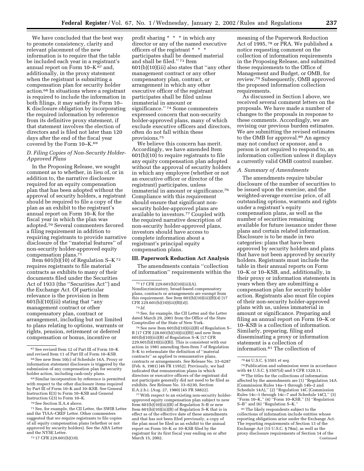We have concluded that the best way to promote consistency, clarity and relevant placement of the new information is to require that the table be included each year in a registrant's annual report on Form 10–K 67 and, additionally, in the proxy statement when the registrant is submitting a compensation plan for security holder action.68 In situations where a registrant is required to include the information in both filings, it may satisfy its Form 10– K disclosure obligation by incorporating the required information by reference from its definitive proxy statement, if that statement involves the election of directors and is filed not later than 120 days after the end of the fiscal year covered by the Form 10–K.69

## *D. Filing Copies of Non-Security Holder-Approved Plans*

In the Proposing Release, we sought comment as to whether, in lieu of, or in addition to, the narrative disclosure required for an equity compensation plan that has been adopted without the approval of security holders, a registrant should be required to file a copy of the plan as an exhibit to the registrant's annual report on Form 10–K for the fiscal year in which the plan was adopted.70 Several commenters favored a filing requirement in addition to requiring registrants to provide narrative disclosure of the ''material features'' of non-security holder-approved equity compensation plans.71

Item 601(b)(10) of Regulation S–K $72$ requires registrants to file material contracts as exhibits to many of their documents filed under the Securities Act of 1933 (the ''Securities Act'') and the Exchange Act. Of particular relevance is the provision in Item 601(b)(10)(iii) stating that ''any management contract or other compensatory plan, contract or arrangement, including but not limited to plans relating to options, warrants or rights, pension, retirement or deferred compensation or bonus, incentive or

71See, for example, the CII Letter, the SWIB Letter and the TIAA–CREF Letter. Other commenters suggested that we require registrants to file copies of all equity compensation plans (whether or not approved by security holders). See the ABA Letter and the NYSE Letter.

72 17 CFR 229.601(b)(10).

profit sharing \* \* \* in which any director or any of the named executive officers of the registrant \* \* \* participates shall be deemed material and shall be filed.'' 73 Item 601(b)(10)(iii) also states that ''any other management contract or any other compensatory plan, contract, or arrangement in which any other executive officer of the registrant participates shall be filed unless immaterial in amount or significance.'' 74 Some commenters expressed concern that non-security holder-approved plans, many of which exclude executive officers and directors, often do not fall within these provisions.75

We believe this concern has merit. Accordingly, we have amended Item 601(b)(10) to require registrants to file any equity compensation plan adopted without the approval of security holders in which any employee (whether or not an executive officer or director of the registrant) participates, unless immaterial in amount or significance.76 Compliance with this requirement should ensure that significant nonsecurity holder-approved plans are available to investors.77 Coupled with the required narrative description of non-security holder-approved plans, investors should have access to complete information about a registrant's principal equity compensation plans.

## **III. Paperwork Reduction Act Analysis**

The amendments contain ''collection of information'' requirements within the

 $^{\mathrm{75}}$  See, for example, the CII Letter and the Letter dated March 29, 2001 from the Office of the State Comptroller of the State of New York.

 $76$  See new Item  $601(b)(10)(iii)(B)$  of Regulation S-B [17 CFR 228.601(b)(10)(iii)(B)] and new Item 601(b)(10)(iii)(B) of Regulation S–K [17 CFR  $229.601(b)(10)(iii)(B)$ . This is consistent with our action in 1981 amending then-Item 7 of Regulation S–K to reformulate the definition of ''material contracts'' as applied to remunerative plans, contracts or arrangements. See Release No. 33–6287 (Feb. 6, 1981) [46 FR 11952]. Previously, we had indicated that remuneration plans in which directors or executive officers of the registrant did not participate generally did not need to be filed as exhibits. See Release No. 33–6230, Section II.A.2.b.i. (Aug. 27, 1980) [45 FR 58822].

77With respect to an existing non-security holderapproved equity compensation plan subject to new Item  $601(b)(10)(iii)(B)$  of Regulation S-B or new Item 601(b)(10)(iii)(B) of Regulation S–K that is in effect as of the effective date of these amendments and that has not been filed previously, a copy of the plan must be filed as an exhibit to the annual report on Form 10–K or 10–KSB filed by the registrant for its first fiscal year ending on or after March 15, 2002.

meaning of the Paperwork Reduction Act of 1995, 78 or PRA. We published a notice requesting comment on the collection of information requirements in the Proposing Release, and submitted these requirements to the Office of Management and Budget, or OMB, for review.79 Subsequently, OMB approved the proposed information collection requirements.

As discussed in Section I above, we received several comment letters on the proposals. We have made a number of changes to the proposals in response to these comments. Accordingly, we are revising our previous burden estimates. We are submitting the revised estimates to the OMB for approval.<sup>80</sup> An agency may not conduct or sponsor, and a person is not required to respond to, an information collection unless it displays a currently valid OMB control number.

#### *A. Summary of Amendments*

The amendments require tabular disclosure of the number of securities to be issued upon the exercise, and the weighted-average exercise price, of all outstanding options, warrants and rights under a registrant's equity compensation plans, as well as the number of securities remaining available for future issuance under these plans and certain related information. Disclosure is to be made in two categories: plans that have been approved by security holders and plans that have not been approved by security holders. Registrants must include the table in their annual reports on Form 10–K or 10–KSB, and, additionally, in their proxy or information statements in years when they are submitting a compensation plan for security holder action. Registrants also must file copies of their non-security holder-approved plans with us, unless immaterial in amount or significance. Preparing and filing an annual report on Form 10–K or 10–KSB is a collection of information. Similarly, preparing, filing and disseminating a proxy or information statement is a collection of information.81 The collection of

80The titles for the collections of information affected by the amendments are (1) ''Regulation 14A (Commission Rules 14a–1 through 14b–2 and Schedule 14A),'' (2) ''Regulation 14C (Commission Rules 14c–1 through 14c–7 and Schedule 14C),'' (3) ''Form 10–K,'' (4) ''Form 10–KSB,'' (5) ''Regulation S–B'' and (6) ''Regulation S–K.''

81The likely respondents subject to the collections of information include entities whose reporting obligations arise under the Exchange Act. The reporting requirements of Section 13 of the Exchange Act [15 U.S.C. § 78m], as well as the proxy disclosure requirements of Section 14 of the Continued

<sup>67</sup>See revised Item 12 of Part III of Form 10–K and revised Item 11 of Part III of Form 10–KSB.

<sup>68</sup>See new Item 10(c) of Schedule 14A. Proxy or information statement disclosure is triggered by the submission of any compensation plan for security holder action, including cash-only plans.

<sup>69</sup>Similar incorporation by reference is permitted with respect to the other disclosure items required by Part III of Form 10–K and 10–KSB. See General Instruction E(3) to Form 10–KSB and General Instruction G(3) to Form 10–K.

<sup>70</sup>See Section II.A.4 above.

<sup>73</sup> 17 CFR 229.601(b)(10)(iii)(A).

Nondiscriminatory, broad-based compensatory plans, contracts or arrangements are exempt from this requirement. See Item 601(b)(10)(iii)(B)(*4*) [17 CFR 229.601(b)(10)(iii)(B)(*4*)]. 74 *Id.*

<sup>78</sup> 44 U.S.C. § 3501 *et seq.*

<sup>79</sup>Publication and submission were in accordance with 44 U.S.C. § 3507(d) and 5 CFR 1320.11.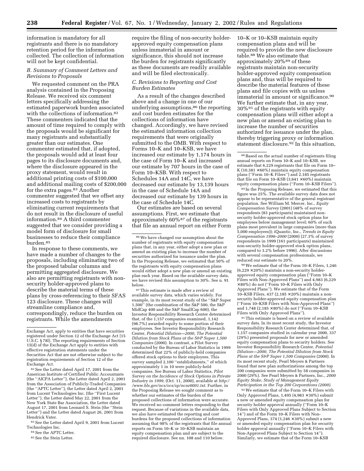information is mandatory for all registrants and there is no mandatory retention period for the information collected. The collection of information will not be kept confidential.

## *B. Summary of Comment Letters and Revisions to Proposals*

We requested comment on the PRA analysis contained in the Proposing Release. We received six comment letters specifically addressing the estimated paperwork burden associated with the collections of information.<sup>82</sup> These commenters indicated that the amount of time required to comply with the proposals would be significant for many registrants and substantially greater than our estimates. One commenter estimated that, if adopted, the proposals would add at least four pages to its disclosure documents and, where the disclosure appeared in the proxy statement, would result in additional printing costs of \$100,000 and additional mailing costs of \$200,000 for the extra pages.<sup>83</sup> Another commenter suggested that we offset any increased costs to registrants by eliminating current requirements that do not result in the disclosure of useful information.84 A third commenter suggested that we consider providing a model form of disclosure for small businesses to reduce their compliance burden.85

In response to these comments, we have made a number of changes to the proposals, including eliminating two of the proposed tabular columns and permitting aggregated disclosure. We also are permitting registrants with nonsecurity holder-approved plans to describe the material terms of these plans by cross-referencing to their SFAS 123 disclosure. These changes will streamline compliance and, correspondingly, reduce the burden on registrants. While the amendments

82See the Letter dated April 17, 2001 from the American Institute of Certified Public Accountants (the ''AICPA Letter''), the Letter dated April 2, 2001 from the Association of Publicly-Traded Companies (the ''APTC Letter''), the Letter dated April 2, 2001 from Lucent Technologies Inc. (the ''First Lucent Letter''), the Letter dated May 22, 2001 from the New York State Bar Association, the Letter dated August 17, 2001 from Leonard S. Stein (the ''Stein Letter'') and the Letter dated August 26, 2001 from Hendrick Vater.

83See the Letter dated April 9, 2001 from Lucent Technologies Inc.

require the filing of non-security holderapproved equity compensation plans unless immaterial in amount or significance, this should not increase the burden for registrants significantly as these documents are readily available and will be filed electronically.

## *C. Revisions to Reporting and Cost Burden Estimates*

As a result of the changes described above and a change in one of our underlying assumptions,86 the reporting and cost burden estimates for the collections of information have changed. Accordingly, we have revised the estimated information collection requirements that were originally submitted to the OMB. With respect to Forms 10–K and 10–KSB, we have increased our estimate by 1,174 hours in the case of Form 10–K and increased our estimate by 707 hours in the case of Form 10–KSB. With respect to Schedules 14A and 14C, we have decreased our estimate by 13,139 hours in the case of Schedule 14A and decreased our estimate by 139 hours in the case of Schedule 14C.

Our estimates are based on several assumptions. First, we estimate that approximately 60%87 of the registrants that file an annual report on either Form

87This estimate is made after a review of available survey data, which varies widely. For example, in its most recent study of the ''S&P Super 1,500'' (the combination of the S&P 500, the S&P MidCap 400 and the S&P SmallCap 600), the Investor Responsibility Research Center determined that, of the 1,157 companies examined, 1,142 (98.7%) awarded equity to some portion of their employees. See Investor Responsibility Research Center, *Potential Dilution—2000, The Potential Dilution from Stock Plans at the S&P Super 1,500 Companies* (2000). In contrast, a Pilot Survey conducted by the Bureau of Labor Statistics in 1999 determined that 22% of publicly-held companies offered stock options to their employees. This survey sampled 2,100 ''establishments,'' of which approximately 1 in 10 were publicly-held companies. See Bureau of Labor Statistics, *Pilot Survey on the Incidence of Stock Options in Private Industry in 1999*, (Oct. 11, 2000), available at *http:/ /www.bls.gov/ncs/ocs/sp/ncnr0001.txt*. Further, in the Proposing Release we sought comment as to whether our estimates of the burden of the proposed collections of information were accurate. We received no comment letters responding to that request. Because of variations in the available data, we also have estimated the reporting and cost burdens for the proposed collections of information assuming that 98% of the registrants that file annual reports on Form 10–K or 10–KSB maintain an equity compensation plan and are subject to the required disclosure. See nn. 108 and 110 below.

10–K or 10–KSB maintain equity compensation plans and will be required to provide the new disclosure table.88 We also estimate that approximately 20%89 of these registrants maintain non-security holder-approved equity compensation plans and, thus will be required to describe the material features of these plans and file copies with us unless immaterial in amount or significance.<sup>90</sup> We further estimate that, in any year, 30%91 of the registrants with equity compensation plans will either adopt a new plan or amend an existing plan to increase the number of securities authorized for issuance under the plan, thereby triggering proxy or information statement disclosure.92 In this situation,

89 In the Proposing Release, we estimated that this figure was 25%. The available survey data does not appear to be representative of the general registrant population. See William M. Mercer, Inc., *Equity Compensation Survey* (2001) (48% of survey respondents (83 participants) maintained nonsecurity holder-approved stock option plans for employees below management level; 60% of such plans most prevalent in large companies (more than 5,000 employees)); iQuantic, Inc., *Trends in Equity Compensation 1996–2000* (2000) (27.3% of survey respondents in 1999 (161 participants) maintained non-security holder-approved stock option plans, compared to 3.2% before 1996). After discussions with several compensation professionals, we reduced our estimate to 20%.

90We estimate that of the Form 10–K Filers, 1,246  $(6,229 \times 20\%)$  maintain a non-security holderapproved equity compensation plan (''Form 10–K Filers with Non-Approved Plans'') and 4,983 (6,229 × 80%) do not (''Form 10–K Filers with Only Approved Plans''). We estimate that of the Form 10–KSB Filers, 437 (2,185  $\times$  20%) maintain a nonsecurity holder-approved equity compensation plan (''Form 10–KSB Filers with Non-Approved Plans'') and 1,748 (2,185 × 80%) do not (''Form 10–KSB Filers with Only Approved Plans'').

91This estimate is based on a review of available survey data. In its most recent study, the Investor Responsibility Research Center determined that, of 1,157 companies studied in calendar year 2000, 337 (29%) presented proposals for new or amended equity compensation plans to security holders. See Investor Responsibility Research Center, *Potential Dilution—2000, The Potential Dilution from Stock Plans at the S&P Super 1,500 Companies* (2000). In its most recent study, Pearl Meyers & Partners found that new plan authorizations among the top 200 companies were submitted by 58 companies in 2000 (29%). See Pearl Meyers & Partners, Inc., *2000 Equity Stake, Study of Management Equity Participation in the Top 200 Corporations (2000)*.

92We estimate that of the Form 10–K Filers with Only Approved Plans,  $1,495$  (4,983  $\times$  30%) submit a new or amended equity compensation plan for security holder approval annually (''Form 10–K Filers with Only Approved Plans Subject to Section 14'') and of the Form 10–K Filers with Non-Approved Plans, 374 (1,246  $\times$  30%) submit a new or amended equity compensation plan for security holder approval annually (''Form 10–K Filers with Non-Approved Plans Subject to Section 14''). Similarly, we estimate that of the Form 10–KSB

Exchange Act, apply to entities that have securities registered under Section 12 of the Exchange Act [15 U.S.C. § 78l]. The reporting requirements of Section 15(d) of the Exchange Act apply to entities with effective registration statements under the Securities Act that are not otherwise subject to the registration requirements of Section 12 of the Exchange Act.

<sup>84</sup>See the APTC Letter. 85 See the Stein Letter.

<sup>86</sup>We have changed our assumption about the number of registrants with equity compensation plans that, in any year, either adopt a new plan or amend an existing plan to increase the number of securities authorized for issuance under the plan. In the Proposing Release, we estimated that 50% of the registrants with equity compensation plans would either adopt a new plan or amend an existing plan each year. Based on the available survey data, we have revised this assumption to 30%. See n. 91 below.

<sup>88</sup>Based on the actual number of registrants filing annual reports on Form 10–K and 10–KSB, we estimate that 6,229 registrants that file on Form 10– K (10,381  $\times$  60%) maintain equity compensation plans (''Form 10–K Filers'') and 2,185 registrants that file on Form 10–KSB (3,641 × 60%) maintain equity compensation plans (''Form 10–KSB Filers'').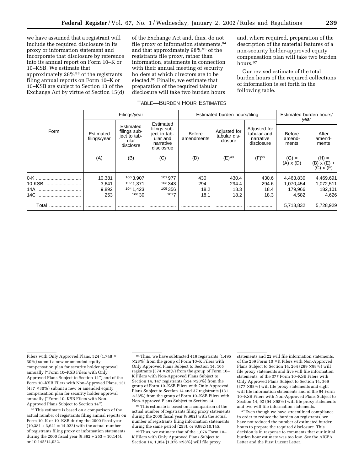we have assumed that a registrant will include the required disclosure in its proxy or information statement and incorporate that disclosure by reference into its annual report on Form 10–K or 10–KSB. We estimate that approximately 28%93 of the registrants filing annual reports on Form 10–K or 10–KSB are subject to Section 13 of the Exchange Act by virtue of Section 15(d)

of the Exchange Act and, thus, do not file proxy or information statements.<sup>94</sup> and that approximately 98%95 of the registrants file proxy, rather than information, statements in connection with their annual meeting of security holders at which directors are to be elected.96 Finally, we estimate that preparation of the required tabular disclosure will take two burden hours

#### TABLE—BURDEN HOUR ESTIMATES

and, where required, preparation of the description of the material features of a non-security holder-approved equity compensation plan will take two burden hours.97

Our revised estimate of the total burden hours of the required collections of information is set forth in the following table.

|                          | Filings/year                    |                                                                |                                                                                  | Estimated burden hours/filing |                                         |                                                        | Estimated burden hours/<br>year            |                                            |
|--------------------------|---------------------------------|----------------------------------------------------------------|----------------------------------------------------------------------------------|-------------------------------|-----------------------------------------|--------------------------------------------------------|--------------------------------------------|--------------------------------------------|
| Form                     | Estimated<br>filings/year       | Estimated<br>filings sub-<br>ject to tab-<br>ular<br>disclosre | Estimated<br>filings sub-<br>ject to tab-<br>ular and<br>narrative<br>disclosrue | Before<br>amendments          | Adjusted for<br>tabular dis-<br>closure | Adjusted for<br>tabular and<br>narrative<br>disclosure | <b>Before</b><br>amend-<br>ments           | After<br>amend-<br>ments                   |
|                          | (A)                             | (B)                                                            | (C)                                                                              | (D)                           | $(E)^{98}$                              | $(F)^{99}$                                             | $(G) =$<br>(A) x (D)                       | (H) =<br>(B) x (E) +<br>(C) x (F)          |
| 10-KSB<br>14A<br>14C<br> | 10,381<br>3,641<br>9,892<br>253 | 100 3,907<br>1021.371<br>104 1.423<br>106 30                   | 101 977<br>103 343<br>105 356<br>1077                                            | 430<br>294<br>18.2<br>18.1    | 430.4<br>294.4<br>18.3<br>18.2          | 430.6<br>294.6<br>18.4<br>18.3                         | 4,463,830<br>1,070,454<br>179.966<br>4,582 | 4,469,691<br>1,072,511<br>182,101<br>4,626 |
| Total                    |                                 |                                                                | .                                                                                |                               |                                         |                                                        | 5,718,832                                  | 5,728,929                                  |

93This estimate is based on a comparison of the actual number of registrants filing annual reports on Form 10–K or 10–KSB during the 2000 fiscal year  $(10,381 + 3,641 = 14,022)$  with the actual number of registrants filing proxy or information statements during the 2000 fiscal year  $(9,892 + 253 = 10,145)$ , or 10,145/14,022.

95This estimate is based on a comparison of the actual number of registrants filing proxy statements during the 2000 fiscal year (9,982) with the actual number of registrants filing information statements during the same period (253), or 9,982/10,145.

96Thus, we estimate that of the 1,076 Form 10– K Filers with Only Approved Plans Subject to Section 14, 1,054 (1,076 × 98%) will file proxy

statements and 22 will file information statements, of the 269 Form 10 × K Filers with Non-Approved Plans Subject to Section 14, 264 (269  $\times$  98%) will file proxy statements and five will file information statements, of the 377 Form 10–KSB Filers with Only Approved Plans Subject to Section 14, 369  $(377 \times 98\%)$  will file proxy statements and eight will file information statements and of the 94 Form 10–KSB Filers with Non-Approved Plans Subject to Section 14, 92 (94  $\times$  98%) will file proxy statements and two will file information statements.

<sup>97</sup> Even though we have streamlined compliance in order to reduce the burden on registrants, we have not reduced the number of estimated burden hours to prepare the required disclosure. This decision is in response to comments that our initial burden hour estimate was too low. See the AICPA Letter and the First Lucent Letter.

Filers with Only Approved Plans, 524 (1,748 × 30%) submit a new or amended equity compensation plan for security holder approval annually (''Form 10–KSB Filers with Only Approved Plans Subject to Section 14'') and of the Form 10–KSB Filers with Non-Approved Plans, 131  $(437 \times 30\%)$  submit a new or amended equity compensation plan for security holder approval annually (''Form 10–KSB Filers with Non-Approved Plans Subject to Section 14'').

<sup>94</sup>Thus, we have subtracted 419 registrants (1,495  $\times$  28%) from the group of Form 10–K Filers with Only Approved Plans Subject to Section 14, 105 registrants (374  $\times$  28%) from the group of Form 10– K Filers with Non-Approved Plans Subject to Section 14, 147 registrants ( $524 \times 28\%$ ) from the group of Form 10–KSB Filers with Only Approved Plans Subject to Section 14 and 37 registrants (131 × 28%) from the group of Form 10–KSB Filers with Non-Approved Plans Subject to Section 14.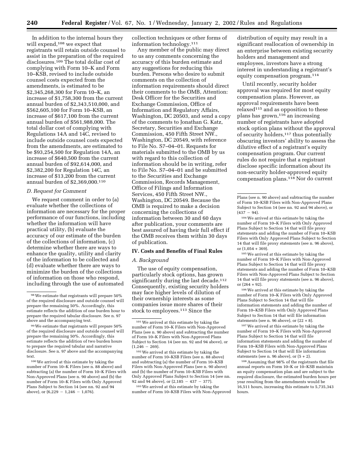In addition to the internal hours they will expend,<sup>108</sup> we expect that registrants will retain outside counsel to assist in the preparation of the required disclosures.109 The total dollar cost of complying with Form 10–K and Form 10–KSB, revised to include outside counsel costs expected from the amendments, is estimated to be \$2,345,268,300 for Form 10–K, an increase of \$1,758,300 from the current annual burden of \$2,343,510,000, and \$562,605,100 for Form 10–KSB, an increase of \$617,100 from the current annual burden of \$561,988,000. The total dollar cost of complying with Regulations 14A and 14C, revised to include outside counsel costs expected from the amendments, are estimated to be \$93,254,500 for Regulation 14A, an increase of \$640,500 from the current annual burden of \$92,614,000, and \$2,382,200 for Regulation 14C, an increase of \$13,200 from the current annual burden of \$2,369,000.110

#### *D. Request for Comment*

We request comment in order to (a) evaluate whether the collections of information are necessary for the proper performance of our functions, including whether the information will have practical utility, (b) evaluate the accuracy of our estimate of the burden of the collections of information, (c) determine whether there are ways to enhance the quality, utility and clarity of the information to be collected and (d) evaluate whether there are ways to minimize the burden of the collections of information on those who respond, including through the use of automated

100We arrived at this estimate by taking the number of Form 10–K Filers (see n. 88 above) and subtracting (a) the number of Form 10–K Filers with Non-Approved Plans (see n. 90 above) and (b) the number of Form 10–K Filers with Only Approved Plans Subject to Section 14 (see nn. 92 and 94 above), or  $(6,229 - 1,246 - 1,076)$ .

collection techniques or other forms of information technology.111

Any member of the public may direct to us any comments concerning the accuracy of this burden estimate and any suggestions for reducing this burden. Persons who desire to submit comments on the collection of information requirements should direct their comments to the OMB, Attention: Desk Officer for the Securities and Exchange Commission, Office of Information and Regulatory Affairs, Washington, DC 20503, and send a copy of the comments to Jonathan G. Katz, Secretary, Securities and Exchange Commission, 450 Fifth Street NW., Washington, DC 20549, with reference to File No. S7–04–01. Requests for materials submitted to the OMB by us with regard to this collection of information should be in writing, refer to File No. S7–04–01 and be submitted to the Securities and Exchange Commission, Records Management, Office of Filings and Information Services, 450 Fifth Street NW., Washington, DC 20549. Because the OMB is required to make a decision concerning the collections of information between 30 and 60 days after publication, your comments are best assured of having their full effect if the OMB receives them within 30 days of publication.

## **IV. Costs and Benefits of Final Rules**

#### *A. Background*

The use of equity compensation, particularly stock options, has grown significantly during the last decade.<sup>112</sup> Consequently, existing security holders may face higher levels of dilution of their ownership interests as some companies issue more shares of their stock to employees.113 Since the

102We arrived at this estimate by taking the number of Form 10–KSB Filers (see n. 88 above) and subtracting (a) the number of Form 10–KSB Filers with Non-Approved Plans (see n. 90 above) and (b) the number of Form 10–KSB Filers with Only Approved Plans Subject to Section 14 (see nn. 92 and 94 above), or  $(2,185 - 437 - 377)$ .

103We arrived at this estimate by taking the number of Form 10–KSB Filers with Non-Approved

distribution of equity may result in a significant reallocation of ownership in an enterprise between existing security holders and management and employees, investors have a strong interest in understanding a registrant's equity compensation program.114

Until recently, security holder approval was required for most equity compensation plans. However, as approval requirements have been  $relaxed<sup>115</sup>$  and as opposition to these plans has grown,116 an increasing number of registrants have adopted stock option plans without the approval of security holders,117 thus potentially obscuring investors' ability to assess the dilutive effect of a registrant's equity compensation program. Our current rules do not require that a registrant disclose specific information about its non-security holder-approved equity compensation plans.118 Nor do current

105We arrived at this estimate by taking the number of Form 10–K Filers with Non-Approved Plans Subject to Section 14 that will file proxy statements and adding the number of Form 10–KSB Filers with Non-Approved Plans Subject to Section 14 that will file proxy statements (see n. 96 above), or (264 + 92).

106We arrived at this estimate by taking the number of Form 10–K Filers with Only Approved Plans Subject to Section 14 that will file information statements and adding the number of Form 10–KSB Filers with Only Approved Plans Subject to Section 14 that will file information statements (see n. 96 above), or  $(22 + 8)$ .

107We arrived at this estimate by taking the number of Form 10–K Filers with Non-Approved Plans Subject to Section 14 that will file information statements and adding the number of Form 10–KSB Filers with Non-Approved Plans Subject to Section 14 that will file information statements (see n. 96 above), or (5 + 2).

108Assuming that 98% of the registrants that file annual reports on Form 10–K or 10–KSB maintain an equity compensation plan and are subject to the required disclosure, the estimated burden hours per year resulting from the amendments would be 16,511 hours, increasing this estimate to 5,735,343 hours.

<sup>98</sup>We estimate that registrants will prepare 50% of the required disclosure and outside counsel will prepare the remaining 50%. Accordingly, this estimate reflects the addition of one burden hour to prepare the required tabular disclosure. See n. 97 above and the accompanying text.

<sup>99</sup>We estimate that registrants will prepare 50% of the required disclosure and outside counsel will prepare the remaining 50%. Accordingly, this estimate reflects the addition of two burden hours to prepare the required tabular and narrative disclosure. See n. 97 above and the accompanying text.

<sup>101</sup>We arrived at this estimate by taking the number of Form 10–K Filers with Non-Approved Plans (see n. 90 above) and subtracting the number of Form 10–K Filers with Non-Approved Plans Subject to Section 14 (see nn. 92 and 94 above), or  $(1,246 - 269).$ 

Plans (see n. 90 above) and subtracting the number of Form 10–KSB Filers with Non-Approved Plans Subject to Section 14 (see nn. 92 and 94 above), or  $(437 - 94)$ .

<sup>104</sup>We arrived at this estimate by taking the number of Form 10–K Filers with Only Approved Plans Subject to Section 14 that will file proxy statements and adding the number of Form 10–KSB Filers with Only Approved Plans Subject to Section 14 that will file proxy statements (see n. 96 above), or (1,054 + 369).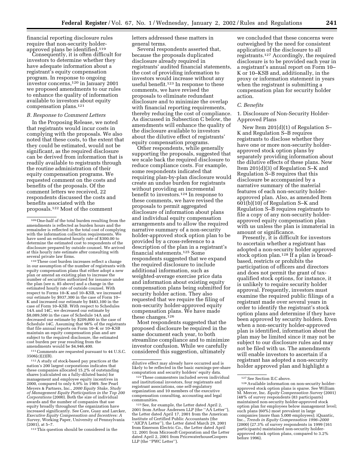financial reporting disclosure rules require that non-security holderapproved plans be identified.119

Consequently, it is often difficult for investors to determine whether they have adequate information about a registrant's equity compensation program. In response to ongoing investor concerns,120 in January 2001 we proposed amendments to our rules to enhance the quality of information available to investors about equity compensation plans.121

#### *B. Response to Comment Letters*

In the Proposing Release, we noted that registrants would incur costs in complying with the proposals. We also noted that these costs, to the extent that they could be estimated, would not be significant, as the required disclosure can be derived from information that is readily available to registrants through the routine administration of their equity compensation programs. We requested comment on the costs and benefits of the proposals. Of the comment letters we received, 22 respondents discussed the costs and benefits associated with the proposals.122 Most of the comment

110These cost burden increases reflect a change in our assumption of the number of registrants with equity compensation plans that either adopt a new plan or amend an existing plan to increase the number of securities authorized for issuance under the plan (see n. 85 above) and a change in the estimated hourly rate of outside counsel. With respect to Forms 10–K and 10–KSB, we increased our estimate by \$937,300 in the case of Form 10– K and increased our estimate by \$483,100 in the case of Form 10–KSB. With respect to Schedules 14A and 14C, we decreased our estimate by \$8,089,500 in the case of Schedule 14A and decreased our estimate by \$209,800 in the case of Schedule 14C. Assuming that 98% of the registrants that file annual reports on Form 10–K or 10–KSB maintain an equity compensation plan and are subject to the required disclosure, the estimated cost burden per year resulting from the amendments would be \$4,946,400.

111Comments are requested pursuant to 44 U.S.C. 3506(c)(2)(B).

112A study of stock-based pay practices at the nation's 200 largest corporations indicates that these companies allocated 15.2% of outstanding shares (calculated on a fully-diluted basis) for management and employee equity incentives in 2000, compared to only 6.9% in 1989. See Pearl Meyers & Partners, Inc., *2000 Equity Stake, Study of Management Equity Participation in the Top 200 Corporations* (2000). Both the size of individual awards and the number of companies that use equity broadly throughout the organization have increased significantly. See Core, Guay and Larcker, *Executive Equity Compensation and Incentives: A Survey,* Working Paper, University of Pennsylvania (2001), at 5–7.

113This question should be considered in the

letters addressed these matters in general terms.

Several respondents asserted that, because the proposals duplicated disclosure already required in registrants' audited financial statements, the cost of providing information to investors would increase without any useful benefit.123 In response to these comments, we have revised the proposals to eliminate redundant disclosure and to minimize the overlap with financial reporting requirements, thereby reducing the cost of compliance. As discussed in Subsection C below, the amendments will enhance the quality of the disclosure available to investors about the dilutive effect of registrants' equity compensation programs.

Other respondents, while generally supporting the proposals, suggested that we scale back the required disclosure to reduce compliance costs. For example, some respondents indicated that requiring plan-by-plan disclosure would create an undue burden for registrants without providing an incremental benefit to investors.124 In response to these comments, we have revised the proposals to permit aggregated disclosure of information about plans and individual equity compensation arrangements and to allow the required narrative summary of a non-security holder-approved stock option plan to be provided by a cross-reference to a description of the plan in a registrant's financial statements.125 Some respondents suggested that we expand the required disclosure to include additional information, such as weighted-average exercise price data and information about existing equity compensation plans being submitted for security holder action. They also requested that we require the filing of non-security holder-approved equity compensation plans. We have made these changes.126

Most respondents suggested that the proposed disclosure be required in the same document each year, to both streamline compliance and to minimize investor confusion. While we carefully considered this suggestion, ultimately

we concluded that these concerns were outweighed by the need for consistent application of the disclosure to all registrants.127 Accordingly, the required disclosure is to be provided each year in a registrant's annual report on Form 10– K or 10–KSB and, additionally, in the proxy or information statement in years when the registrant is submitting a compensation plan for security holder action.

#### *C. Benefits*

1. Disclosure of Non-Security Holder-Approved Plans

New Item 201(d)(1) of Regulation S– K and Regulation S–B requires registrants to disclose whether they have one or more non-security holderapproved stock option plans by separately providing information about the dilutive effects of these plans. New Item 201(d)(3) of Regulation S–K and Regulation S–B requires that this disclosure be accompanied by a narrative summary of the material features of each non-security holderapproved plan. Also, as amended Item 601(b)(10) of Regulation S–K and Regulation S–B requires registrants to file a copy of any non-security holderapproved equity compensation plan with us unless the plan is immaterial in amount or significance.

Presently, it is difficult for investors to ascertain whether a registrant has adopted a non-security holder approved stock option plan.<sup>128</sup> If a plan is broadbased, restricts or prohibits the participation of officers and directors and does not permit the grant of taxqualified stock options, for instance, it is unlikely to require security holder approval. Frequently, investors must examine the required public filings of a registrant made over several years in order to identify the registrant's stock option plans and determine if they have been approved by security holders. Even when a non-security holder-approved plan is identified, information about the plan may be limited since it may not be subject to our disclosure rules and may not be filed with us. The amendments will enable investors to ascertain if a registrant has adopted a non-security holder approved plan and highlight a

<sup>109</sup>One-half of the total burden resulting from the amendments is reflected as burden hours and the remainder is reflected in the total cost of complying with the information collection requirements. We have used an estimated hourly rate of \$300.00 to determine the estimated cost to respondents of the disclosure prepared by outside counsel. We arrived at this hourly rate estimate after consulting with several private law firms.

dilutive effect may already have occurred and is likely to be reflected in the basic earnings-per-share computation and security holders' equity data.

<sup>122</sup>These commenters included seven individual and institutional investors, four registrants and registrant associations, one self-regulatory organization and 10 members of the executive compensation consulting, accounting and legal communities.

<sup>123</sup>See, for example, the Letter dated April 2, 2001 from Arthur Andersen LLP (the ''AA Letter''), the Letter dated April 17, 2001 from the American Institute of Certified Public Accountants (the ''AICPA Letter''), the Letter dated March 29, 2001 from Emerson Electric Co., the Letter dated April 12, 2001 from Microsoft Corporation and the Letter dated April 2, 2001 from PricewaterhouseCoopers LLP (the "PWC Letter").

<sup>127</sup>See Section II.C above.

<sup>128</sup>Available information on non-security holderapproved stock option plans is sparse. See William M. Mercer, Inc. *Equity Compensation Survey* (2001) (48% of survey respondents (83 participants) maintained non-security holder-approved stock option plan for employees below management level; such plans (60%) most prevalent in large companies (more than 5,000 employees); iQuantic, Inc., *Trends in Equity Compensation 1996–2000* (2000) (27.3% of survey respondents in 1999 (161 participants) maintained non-security holderapproved stock option plans, compared to 3.2% before 1996).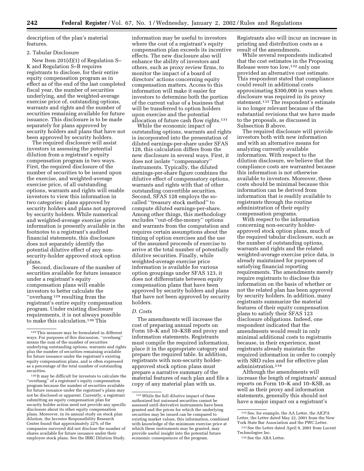description of the plan's material features.

## 2. Tabular Disclosure

New Item 201(d)(1) of Regulation S– K and Regulation S–B requires registrants to disclose, for their entire equity compensation program as in effect as of the end of the last completed fiscal year, the number of securities underlying, and the weighted-average exercise price of, outstanding options, warrants and rights and the number of securities remaining available for future issuance. This disclosure is to be made separately for plans approved by security holders and plans that have not been approved by security holders.

The required disclosure will assist investors in assessing the potential dilution from a registrant's equity compensation program in two ways. First, the required disclosure of the number of securities to be issued upon the exercise, and weighted-average exercise price, of all outstanding options, warrants and rights will enable investors to view this information in two categories: plans approved by security holders and plans not approved by security holders. While numerical and weighted-average exercise price information is presently available in the footnotes to a registrant's audited financial statements, this disclosure does not separately identify the potential dilutive effect of any nonsecurity-holder approved stock option plans.

Second, disclosure of the number of securities available for future issuance under a registrant's equity compensation plans will enable investors to better calculate the ''overhang 129 resulting from the registrant's entire equity compensation program. Under existing disclosure requirements, it is not always possible to make this calculation.<sup>130</sup> This

130 It may be difficult for investors to calculate the ''overhang'' of a registrant's equity compensation program because the number of securities available for future issuance under the registrant's plans may not be disclosed or apparent. Currently, a registrant submitting an equity compensation plan for security holder action need not provide any specific disclosure about its other equity compensation plans. Moreover, in its annual study on stock plan dilution, the Investor Responsibility Research Center found that approximately 22% of the companies surveyed did not disclose the number of shares available for future issuance under their employee stock plans. See the IRRC Dilution Study.

information may be useful to investors where the cost of a registrant's equity compensation plan exceeds its incentive effects. The new disclosure also will enhance the ability of investors and others, such as proxy review firms, to monitor the impact of a board of directors' actions concerning equity compensation matters. Access to this information will make it easier for investors to determine both the portion of the current value of a business that will be transferred to option holders upon exercise and the potential allocation of future cash flow rights.131

While the economic impact of outstanding options, warrants and rights is incorporated into the presentation of diluted earnings-per-share under SFAS 128, this calculation differs from the new disclosure in several ways. First, it does not isolate ''compensatory'' instruments. Typically, the diluted earnings-per-share figure combines the dilutive effect of compensatory options, warrants and rights with that of other outstanding convertible securities. Second, SFAS 128 employs the socalled ''treasury stock method'' to compute diluted earnings-per-share. Among other things, this methodology excludes ''out-of-the-money'' options and warrants from the computation and requires certain assumptions about the timing of option exercises and the use of the assumed proceeds of exercise to arrive at the total number of potentially dilutive securities. Finally, while weighted-average exercise price information is available for various option groupings under SFAS 123, it does not differentiate between equity compensation plans that have been approved by security holders and plans that have not been approved by security holders.

#### *D. Costs*

The amendments will increase the cost of preparing annual reports on Form 10–K and 10–KSB and proxy and information statements. Registrants must compile the required information, place it in the appropriate category and prepare the required table. In addition, registrants with non-security holderapproved stock option plans must prepare a narrative summary of the material features of each plan and file a copy of any material plan with us.

Registrants also will incur an increase in printing and distribution costs as a result of the amendments.

While several respondents indicated that the cost estimates in the Proposing Release were too low,132 only one provided an alternative cost estimate. This respondent stated that compliance could result in additional costs approximating \$300,000 in years when disclosure was required in its proxy statement.133 The respondent's estimate is no longer relevant because of the substantial revisions that we have made to the proposals, as discussed in Subsection B above.

The required disclosure will provide investors both with new information and with an alternative means for analyzing currently available information. With respect to the dilution disclosure, we believe that the compliance costs are warranted because this information is not otherwise available to investors. Moreover, these costs should be minimal because this information can be derived from information that is readily available to registrants through the routine administration of their equity compensation programs.

With respect to the information concerning non-security holderapproved stock option plans, much of the required tabular disclosure, such as the number of outstanding options, warrants and rights and the related weighted-average exercise price data, is already maintained for purposes of satisfying financial reporting requirements. The amendments merely require registrants to disclose this information on the basis of whether or not the related plan has been approved by security holders. In addition, many registrants summarize the material features of their equity compensation plans to satisfy their SFAS 123 disclosure obligations. Indeed, one respondent indicated that the amendments would result in only minimal additional costs to registrants because, in their experience, most registrants already maintain the required information in order to comply with SRO rules and for effective plan administration.134

Although the amendments will increase the length of registrants' annual reports on Form 10–K and 10–KSB, as well as their proxy and information statements, generally this should not have a major impact on a registrant's

<sup>129</sup>This measure may be formulated in different ways. For purposes of this discussion, ''overhang'' means the sum of the number of securities underlying outstanding options, warrants and rights plus the number of securities remaining available for future issuance under the registrant's existing equity compensation plans, and is often expressed as a percentage of the total number of outstanding securities.

<sup>131</sup>While the full dilutive impact of these authorized but unissued securities cannot be assessed until derivative instruments have been granted and the prices for which the underlying securities may be issued can be compared to existing market values, this information, combined with knowledge of the minimum exercise price at which these instruments may be granted, may provide useful insight into the potential future economic consequences of the program.

<sup>132</sup>See, for example, the AA Letter, the AICPA Letter, the Letter dated May 22, 2001 from the New York State Bar Association and the PWC Letter.

<sup>133</sup>See the Letter dated April 9, 2001 from Lucent Technologies Inc.

<sup>134</sup> See the ABA Letter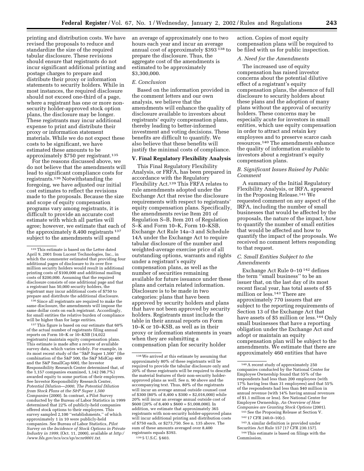printing and distribution costs. We have revised the proposals to reduce and standardize the size of the required tabular disclosure. These revisions should ensure that registrants do not incur significant additional printing and postage charges to prepare and distribute their proxy or information statements to security holders. While in most instances, the required disclosure should not exceed one-third of a page, where a registrant has one or more nonsecurity holder-approved stock option plans, the disclosure may be longer. These registrants may incur additional expense to print and distribute their proxy or information statement materials. While we do not expect these costs to be significant, we have estimated these amounts to be approximately \$750 per registrant.135

For the reasons discussed above, we do not believe that the amendments will lead to significant compliance costs for registrants.136 Notwithstanding the foregoing, we have adjusted our initial cost estimates to reflect the revisions made to the proposals. Because the size and scope of equity compensation programs vary among registrants, it is difficult to provide an accurate cost estimate with which all parties will agree; however, we estimate that each of the approximately 8,400 registrants 137 subject to the amendments will spend

136Since all registrants are required to make the same disclosure, the amendments will impose the same dollar costs on each registrant. Accordingly, for small entities the relative burden of compliance will be higher than for large entities.

<sup>137</sup>This figure is based on our estimate that 60% of the actual number of registrants filing annual reports on Form 10–K or 10–KSB (14,022 registrants) maintain equity compensation plans. This estimate is made after a review of available survey data, which varies widely. For example, in its most recent study of the "S&P Super 1,500" (the combination of the S&P 500, the S&P MidCap 400 and the S&P SmallCap 600), the Investor Responsibility Research Center determined that, of the 1,157 companies examined, 1,142 (98.7%) awarded equity to some portion of their employees. See Investor Responsibility Research Center, *Potential Dilution—2000, The Potential Dilution from Stock Plans at the S&P Super 1,500 Companies* (2000). In contrast, a Pilot Survey conducted by the Bureau of Labor Statistics in 1999 determined that 22% of publicly-held companies offered stock options to their employees. This survey sampled 2,100 ''establishments,'' of which approximately 1 in 10 were publicly-held companies. See Bureau of Labor Statistics, *Pilot Survey on the Incidence of Stock Options in Private Industry in 1999,* (Oct. 11, 2000), available at *http:/ /www.bls.gov/ncs/ocs/sp/ncnr0001.txt.*

an average of approximately one to two hours each year and incur an average annual cost of approximately \$393 138 to prepare the disclosure. Thus, the aggregate cost of the amendments is estimated to be approximately \$3,300,000.

## *E. Conclusion*

Based on the information provided in the comment letters and our own analysis, we believe that the amendments will enhance the quality of disclosure available to investors about registrants' equity compensation plans, thereby leading to better-informed investment and voting decisions. These benefits are difficult to quantify. We also believe that these benefits will justify the minimal costs of compliance.

# **V. Final Regulatory Flexibility Analysis**

This Final Regulatory Flexibility Analysis, or FRFA, has been prepared in accordance with the Regulatory Flexibility Act.139 This FRFA relates to rule amendments adopted under the Exchange Act that revise the disclosure requirements with respect to registrants' equity compensation plans. Specifically, the amendments revise Item 201 of Regulation S–B, Item 201 of Regulation S–K and Form 10–K, Form 10–KSB, Exchange Act Rule 14a–3 and Schedule 14A under the Exchange Act to require tabular disclosure of the number and weighted-average exercise price of all outstanding options, warrants and rights under a registrant's equity compensation plans, as well as the number of securities remaining available for future issuance under these plans and certain related information. Disclosure is to be made in two categories: plans that have been approved by security holders and plans that have not been approved by security holders. Registrants must include the table in their annual reports on Form 10–K or 10–KSB, as well as in their proxy or information statements in years when they are submitting a compensation plan for security holder

139 5 U.S.C. § 603.

action. Copies of most equity compensation plans will be required to be filed with us for public inspection.

## *A. Need for the Amendments*

The increased use of equity compensation has raised investor concerns about the potential dilutive effect of a registrant's equity compensation plans, the absence of full disclosure to security holders about these plans and the adoption of many plans without the approval of security holders. These concerns may be especially acute for investors in small entities, which use equity compensation in order to attract and retain key employees and to preserve scarce cash resources.140 The amendments enhance the quality of information available to investors about a registrant's equity compensation plans.

## *B. Significant Issues Raised by Public Comment*

A summary of the Initial Regulatory Flexibility Analysis, or IRFA, appeared in the Proposing Release.141 We requested comment on any aspect of the IRFA, including the number of small businesses that would be affected by the proposals, the nature of the impact, how to quantify the number of small entities that would be affected and how to quantify the impact of the proposals. We received no comment letters responding to that request.

### *C. Small Entities Subject to the Amendments*

Exchange Act Rule 0–10 142 defines the term ''small business'' to be an issuer that, on the last day of its most recent fiscal year, has total assets of \$5 million or less.<sup>143</sup> There are approximately 770 issuers that are subject to the reporting requirements of Section 13 of the Exchange Act that have assets of \$5 million or less.<sup>144</sup> Only small businesses that have a reporting obligation under the Exchange Act *and* adopt or maintain an equity compensation plan will be subject to the amendments. We estimate that there are approximately 460 entities that have

141See the Proposing Release at Section V. 142 17 CFR 240.0–10(c).

143A similar definition is provided under Securities Act Rule 157 [17 CFR 230.157]. 144This estimate is based on filings with the

Commission.

<sup>135</sup>This estimate is based on the Letter dated April 9, 2001 from Lucent Technologies, Inc., in which the commenter estimated that providing four additional pages of disclosure to its over five million security holders would result in additional printing costs of \$100,000 and additional mailing costs of \$200,000. Assuming that the required disclosure consists of one additional page and that a registrant has 50,000 security holders, the registrant may incur additional costs of \$750 to prepare and distribute the additional disclosure.

<sup>138</sup>We arrived at this estimate by assuming that approximately 80% of these registrants will be required to provide the tabular disclosure only and 20% of these registrants will be required to describe the material features of their non-security holderapproved plans as well. See n. 90 above and the accompanying text. Thus, 80% of the registrants will incur an average annual outside counsel cost of \$300 (80% of  $8,400 \times$  \$300 = \$2,016,000) while 20% will incur an average annual outside cost of  $$600 (20\% \text{ of } 8.400 \times $600 = $1.008,000)$ . In addition, we estimate that approximately 365 registrants with non-security holder-approved plans will incur additional printing and distribution costs of \$750 each, or \$273,750. See n. 135 above. The sum of these amounts averaged over 8,400 registrants equals \$393.

<sup>140</sup>A recent study of approximately 250 companies conducted by the National Center for Employee Ownership found that 55% of the respondents had less than 200 employees (with 17% having less than 31 employees) and that 55% of the respondents had less than \$40 million in annual revenue (with 14% having annual revenues of \$1.1 million or less). See National Center for Employee Ownership, *An Overview of How Companies are Granting Stock Options* (2001).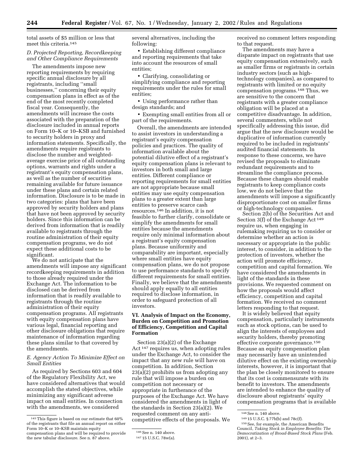total assets of \$5 million or less that meet this criteria.145

## *D. Projected Reporting, Recordkeeping and Other Compliance Requirements*

The amendments impose new reporting requirements by requiring specific annual disclosure by all registrants, including ''small businesses,'' concerning their equity compensation plans in effect as of the end of the most recently completed fiscal year. Consequently, the amendments will increase the costs associated with the preparation of the disclosure included in annual reports on Form 10–K or 10–KSB and furnished to security holders in proxy and information statements. Specifically, the amendments require registrants to disclose the number and weightedaverage exercise price of all outstanding options, warrants and rights under a registrant's equity compensation plans, as well as the number of securities remaining available for future issuance under these plans and certain related information. Disclosure is to be made in two categories: plans that have been approved by security holders and plans that have not been approved by security holders. Since this information can be derived from information that is readily available to registrants through the routine administration of their equity compensation programs, we do not expect these additional costs to be significant.

We do not anticipate that the amendments will impose any significant recordkeeping requirements in addition to those already required under the Exchange Act. The information to be disclosed can be derived from information that is readily available to registrants through the routine administration of their equity compensation programs. All registrants with equity compensation plans have various legal, financial reporting and other disclosure obligations that require maintenance of information regarding these plans similar to that covered by the amendments.

## *E. Agency Action To Minimize Effect on Small Entities*

As required by Sections 603 and 604 of the Regulatory Flexibility Act, we have considered alternatives that would accomplish the stated objectives, while minimizing any significant adverse impact on small entities. In connection with the amendments, we considered

several alternatives, including the following:

• Establishing different compliance and reporting requirements that take into account the resources of small entities;

• Clarifying, consolidating or simplifying compliance and reporting requirements under the rules for small entities;

• Using performance rather than design standards; and

• Exempting small entities from all or part of the requirements.

Overall, the amendments are intended to assist investors in understanding a registrant's equity compensation policies and practices. The quality of information available about the potential dilutive effect of a registrant's equity compensation plans is relevant to investors in both small and large entities. Different compliance or reporting requirements for small entities are not appropriate because small entities may use equity compensation plans to a greater extent than large entities to preserve scarce cash resources.146 In addition, it is not feasible to further clarify, consolidate or simplify the amendments for small entities because the amendments require only minimal information about a registrant's equity compensation plans. Because uniformity and comparability are important, especially where small entities have equity compensation plans, we do not propose to use performance standards to specify different requirements for small entities. Finally, we believe that the amendments should apply equally to all entities required to disclose information, in order to safeguard protection of all investors.

## **VI. Analysis of Impact on the Economy, Burden on Competition and Promotion of Efficiency, Competition and Capital Formation**

Section 23(a)(2) of the Exchange Act 147 requires us, when adopting rules under the Exchange Act, to consider the impact that any new rule will have on competition. In addition, Section  $23(a)(2)$  prohibits us from adopting any rule that will impose a burden on competition not necessary or appropriate in furtherance of the purposes of the Exchange Act. We have considered the amendments in light of the standards in Section 23(a)(2). We requested comment on any anticompetitive effects of the proposals. We

received no comment letters responding to that request.

The amendments may have a disparate impact on registrants that use equity compensation extensively, such as smaller firms or registrants in certain industry sectors (such as hightechnology companies), as compared to registrants with limited or no equity compensation programs.148 Thus, we are sensitive to the concern that registrants with a greater compliance obligation will be placed at a competitive disadvantage. In addition, several commenters, while not specifically addressing this issue, did argue that the new disclosure would be duplicative of information currently required to be included in registrants' audited financial statements. In response to these concerns, we have revised the proposals to eliminate redundant requirements and to streamline the compliance process. Because these changes should enable registrants to keep compliance costs low, we do not believe that the amendments will impose a significantly disproportionate cost on smaller firms or high-technology companies.

Section 2(b) of the Securities Act and Section 3(f) of the Exchange Act 149 require us, when engaging in rulemaking requiring us to consider or determine whether an action is necessary or appropriate in the public interest, to consider, in addition to the protection of investors, whether the action will promote efficiency, competition and capital formation. We have considered the amendments in light of the standards in these provisions. We requested comment on how the proposals would affect efficiency, competition and capital formation. We received no comment letters responding to that request.

It is widely believed that equity compensation, particularly instruments such as stock options, can be used to align the interests of employees and security holders, thereby promoting effective corporate governance.150 Because an equity compensation plan may necessarily have an unintended dilutive effect on the existing ownership interests, however, it is important that the plan be closely monitored to ensure that its cost is commensurate with its benefit to investors. The amendments are intended to enhance the quality of disclosure about registrants' equity compensation programs that is available

<sup>145</sup>This figure is based on our estimate that 60% of the registrants that file an annual report on either Form 10–K or 10–KSB maintain equity compensation plans and will be required to provide the new tabular disclosure. See n. 87 above.

<sup>146</sup>See n. 140 above.

<sup>147</sup> 15 U.S.C. 78w(a).

<sup>148</sup>See n. 140 above.

<sup>149</sup> 15 U.S.C. § 77b(b) and 78c(f).

<sup>150</sup>See, for example, the American Benefits Council, *Taking Stock in Employee Benefits: The Democratization of Broad-Based Stock Plans* (Feb. 2001), at 2–3.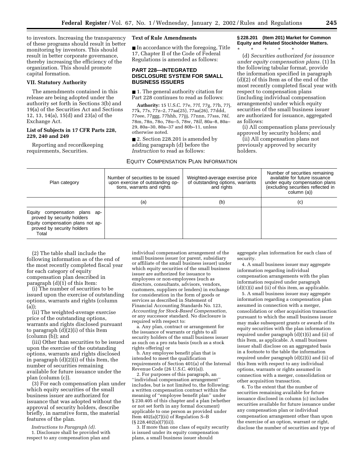to investors. Increasing the transparency of these programs should result in better monitoring by investors. This should result in better corporate governance, thereby increasing the efficiency of the organization. This should promote capital formation.

#### **VII. Statutory Authority**

The amendments contained in this release are being adopted under the authority set forth in Sections 3(b) and 19(a) of the Securities Act and Sections 12, 13, 14(a), 15(d) and 23(a) of the Exchange Act.

## **List of Subjects in 17 CFR Parts 228, 229, 240 and 249**

Reporting and recordkeeping requirements, Securities.

## **Text of Rule Amendments**

■ In accordance with the foregoing, Title 17, Chapter II of the Code of Federal Regulations is amended as follows:

## **PART 228—INTEGRATED DISCLOSURE SYSTEM FOR SMALL BUSINESS ISSUERS**

■ 1. The general authority citation for Part 228 continues to read as follows:

**Authority:** 15 U.S.C. 77e, 77f, 77g, 77h, 77j, 77k, 77s, 77z–2, 77aa(25), 77aa(26), 77ddd, 77eee, 77ggg, 77hhh, 77jjj, 77nnn, 77sss, 78*l*, 78m, 78n, 78o, 78u–5, 78w, 78*ll,* 80a–8, 80a– 29, 80a–30, 80a–37 and 80b–11, unless otherwise noted.

■ 2. Section 228.201 is amended by adding paragraph (d) before the *Instruction* to read as follows:

## EQUITY COMPENSATION PLAN INFORMATION

**§ 228.201 (Item 201) Market for Common Equity and Related Stockholder Matters.** \* \* \* \* \*

(d) *Securities authorized for issuance under equity compensation plans.* (1) In the following tabular format, provide the information specified in paragraph (d)(2) of this Item as of the end of the most recently completed fiscal year with respect to compensation plans (including individual compensation arrangements) under which equity securities of the small business issuer are authorized for issuance, aggregated as follows:

(i) All compensation plans previously approved by security holders; and

(ii) All compensation plans not previously approved by security holders.

| Plan category                                                                                                                           | Number of securities to be issued<br>upon exercise of outstanding op-<br>tions, warrants and rights | Weighted-average exercise price<br>of outstanding options, warrants<br>and rights | Number of securities remaining<br>available for future issuance<br>under equity compensation plans<br>(excluding securities reflected in<br>column (a)) |
|-----------------------------------------------------------------------------------------------------------------------------------------|-----------------------------------------------------------------------------------------------------|-----------------------------------------------------------------------------------|---------------------------------------------------------------------------------------------------------------------------------------------------------|
|                                                                                                                                         | (a)                                                                                                 | (b)                                                                               | (c)                                                                                                                                                     |
| Equity compensation plans ap-<br>proved by security holders<br>Equity compensation plans not ap-<br>proved by security holders<br>Total |                                                                                                     |                                                                                   |                                                                                                                                                         |

(2) The table shall include the following information as of the end of the most recently completed fiscal year for each category of equity compensation plan described in paragraph (d)(1) of this Item:

(i) The number of securities to be issued upon the exercise of outstanding options, warrants and rights (column (a));

(ii) The weighted-average exercise price of the outstanding options, warrants and rights disclosed pursuant to paragraph (d)(2)(i) of this Item (column (b)); and

(iii) Other than securities to be issued upon the exercise of the outstanding options, warrants and rights disclosed in paragraph (d)(2)(i) of this Item, the number of securities remaining available for future issuance under the plan (column (c)).

(3) For each compensation plan under which equity securities of the small business issuer are authorized for issuance that was adopted without the approval of security holders, describe briefly, in narrative form, the material features of the plan.

*Instructions to Paragraph (d).*  1. Disclosure shall be provided with respect to any compensation plan and

individual compensation arrangement of the small business issuer (or parent, subsidiary or affiliate of the small business issuer) under which equity securities of the small business issuer are authorized for issuance to employees or non-employees (such as directors, consultants, advisors, vendors, customers, suppliers or lenders) in exchange for consideration in the form of goods or services as described in Statement of Financial Accounting Standards No. 123, *Accounting for Stock-Based Compensation,* or any successor standard. No disclosure is required with respect to:

a. Any plan, contract or arrangement for the issuance of warrants or rights to all security holders of the small business issuer as such on a pro rata basis (such as a stock rights offering) or

b. Any employee benefit plan that is intended to meet the qualification requirements of Section 401(a) of the Internal Revenue Code (26 U.S.C. 401(a)).

2. For purposes of this paragraph, an ''individual compensation arrangement'' includes, but is not limited to, the following: a written compensation contract within the meaning of ''employee benefit plan'' under § 230.405 of this chapter and a plan (whether or not set forth in any formal document) applicable to one person as provided under Item 402(a)(7)(ii) of Regulation S–B (§ 228.402(a)(7)(ii)).

3. If more than one class of equity security is issued under its equity compensation plans, a small business issuer should

aggregate plan information for each class of security.

4. A small business issuer may aggregate information regarding individual compensation arrangements with the plan information required under paragraph (d)(1)(i) and (ii) of this item, as applicable.

5. A small business issuer may aggregate information regarding a compensation plan assumed in connection with a merger, consolidation or other acquisition transaction pursuant to which the small business issuer may make subsequent grants or awards of its equity securities with the plan information required under paragraph (d)(1)(i) and (ii) of this Item, as applicable. A small business issuer shall disclose on an aggregated basis in a footnote to the table the information required under paragraph (d)(2)(i) and (ii) of this Item with respect to any individual options, warrants or rights assumed in connection with a merger, consolidation or other acquisition transaction.

6. To the extent that the number of securities remaining available for future issuance disclosed in column (c) includes securities available for future issuance under any compensation plan or individual compensation arrangement other than upon the exercise of an option, warrant or right, disclose the number of securities and type of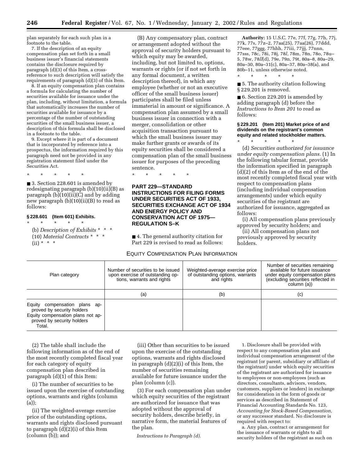plan separately for each such plan in a footnote to the table.

7. If the description of an equity compensation plan set forth in a small business issuer's financial statements contains the disclosure required by paragraph (d)(3) of this Item, a crossreference to such description will satisfy the requirements of paragraph (d)(3) of this Item.

8. If an equity compensation plan contains a formula for calculating the number of securities available for issuance under the plan, including, without limitation, a formula that automatically increases the number of securities available for issuance by a percentage of the number of outstanding securities of the small business issuer, a description of this formula shall be disclosed in a footnote to the table.

9. Except where it is part of a document that is incorporated by reference into a prospectus, the information required by this paragraph need not be provided in any registration statement filed under the Securities Act.

\* \* \* \* \*

■ 3. Section 228.601 is amended by redesignating paragraph (b)(10)(ii)(B) as paragraph (b)(10)(ii)(C) and by adding new paragraph (b)(10)(ii)(B) to read as follows:

# **§ 228.601 (Item 601) Exhibits.**

\* \* \* \* \* (b) *Description of Exhibits* \* \* \* (10) *Material Contracts* \* \* \*  $(ii) * * * *$ 

(B) Any compensatory plan, contract or arrangement adopted without the approval of security holders pursuant to which equity may be awarded, including, but not limited to, options, warrants or rights (or if not set forth in any formal document, a written description thereof), in which any employee (whether or not an executive officer of the small business issuer) participates shall be filed unless immaterial in amount or significance. A compensation plan assumed by a small business issuer in connection with a merger, consolidation or other acquisition transaction pursuant to which the small business issuer may make further grants or awards of its equity securities shall be considered a compensation plan of the small business issuer for purposes of the preceding sentence.

\* \* \* \* \*

## **PART 229—STANDARD INSTRUCTIONS FOR FILING FORMS UNDER SECURITIES ACT OF 1933, SECURITIES EXCHANGE ACT OF 1934 AND ENERGY POLICY AND CONSERVATION ACT OF 1975— REGULATION S–K**

■ 4. The general authority citation for Part 229 is revised to read as follows:

## EQUITY COMPENSATION PLAN INFORMATION

**Authority:** 15 U.S.C. 77e, 77f, 77g, 77h, 77j, 77k, 77s, 77z–2, 77aa(25), 77aa(26), 77ddd, 77eee, 77ggg, 77hhh, 77iii, 77jjj, 77nnn, 77sss, 78c, 78i, 78j, 78*l*, 78m, 78n, 78o, 78u– 5, 78w, 78*ll*(d), 79e, 79n, 79t, 80a–8, 80a–29, 80a–30, 80a–31(c), 80a–37, 80a–38(a), and 80b–11, unless otherwise noted.

■ 5. The authority citation following § 229.201 is removed.

\* \* \* \* \*

■ 6. Section 229.201 is amended by adding paragraph (d) before the *Instructions to Item 201* to read as follows:

## **§ 229.201 (Item 201) Market price of and dividends on the registrant's common equity and related stockholder matters.**

\* \* \* \* \* (d) *Securities authorized for issuance under equity compensation plans.* (1) In the following tabular format, provide the information specified in paragraph (d)(2) of this Item as of the end of the most recently completed fiscal year with respect to compensation plans (including individual compensation arrangements) under which equity securities of the registrant are authorized for issuance, aggregated as follows:

(i) All compensation plans previously approved by security holders; and

(ii) All compensation plans not previously approved by security holders.

| Plan category                                                                                                                               | Number of securities to be issued<br>upon exercise of outstanding op-<br>tions, warrants and rights | Weighted-average exercise price<br>of outstanding options, warrants<br>and rights | Number of securities remaining<br>available for future issuance<br>under equity compensation plans<br>(excluding securities reflected in<br>column (a)) |
|---------------------------------------------------------------------------------------------------------------------------------------------|-----------------------------------------------------------------------------------------------------|-----------------------------------------------------------------------------------|---------------------------------------------------------------------------------------------------------------------------------------------------------|
|                                                                                                                                             | (a)                                                                                                 | (b)                                                                               | (c)                                                                                                                                                     |
| Equity<br>compensation plans ap-<br>proved by security holders<br>Equity compensation plans not ap-<br>proved by security holders<br>Total. |                                                                                                     |                                                                                   |                                                                                                                                                         |

(2) The table shall include the following information as of the end of the most recently completed fiscal year for each category of equity compensation plan described in paragraph (d)(1) of this Item:

(i) The number of securities to be issued upon the exercise of outstanding options, warrants and rights (column (a));

(ii) The weighted-average exercise price of the outstanding options, warrants and rights disclosed pursuant to paragraph (d)(2)(i) of this Item (column (b)); and

(iii) Other than securities to be issued upon the exercise of the outstanding options, warrants and rights disclosed in paragraph (d)(2)(i) of this Item, the number of securities remaining available for future issuance under the plan (column (c)).

(3) For each compensation plan under which equity securities of the registrant are authorized for issuance that was adopted without the approval of security holders, describe briefly, in narrative form, the material features of the plan.

*Instructions to Paragraph (d).* 

1. Disclosure shall be provided with respect to any compensation plan and individual compensation arrangement of the registrant (or parent, subsidiary or affiliate of the registrant) under which equity securities of the registrant are authorized for issuance to employees or non-employees (such as directors, consultants, advisors, vendors, customers, suppliers or lenders) in exchange for consideration in the form of goods or services as described in Statement of Financial Accounting Standards No. 123, *Accounting for Stock-Based Compensation,* or any successor standard. No disclosure is required with respect to:

a. Any plan, contract or arrangement for the issuance of warrants or rights to all security holders of the registrant as such on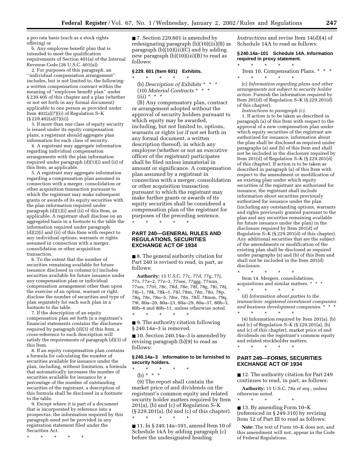a pro rata basis (such as a stock rights offering) or

b. Any employee benefit plan that is intended to meet the qualification requirements of Section 401(a) of the Internal Revenue Code (26 U.S.C. 401(a)).

2. For purposes of this paragraph, an ''individual compensation arrangement'' includes, but is not limited to, the following: a written compensation contract within the meaning of ''employee benefit plan'' under § 230.405 of this chapter and a plan (whether or not set forth in any formal document) applicable to one person as provided under Item 402(a)(7)(ii) of Regulation S–K (§ 229.402(a)(7)(ii)).

3. If more than one class of equity security is issued under its equity compensation plans, a registrant should aggregate plan information for each class of security.

4. A registrant may aggregate information regarding individual compensation arrangements with the plan information required under paragraph (d)(1)(i) and (ii) of this Item, as applicable.

5. A registrant may aggregate information regarding a compensation plan assumed in connection with a merger, consolidation or other acquisition transaction pursuant to which the registrant may make subsequent grants or awards of its equity securities with the plan information required under paragraph  $(d)(1)(i)$  and  $(ii)$  of this Item, as applicable. A registrant shall disclose on an aggregated basis in a footnote to the table the information required under paragraph  $(d)(2)(i)$  and  $(ii)$  of this Item with respect to any individual options, warrants or rights assumed in connection with a merger, consolidation or other acquisition transaction.

6. To the extent that the number of securities remaining available for future issuance disclosed in column (c) includes securities available for future issuance under any compensation plan or individual compensation arrangement other than upon the exercise of an option, warrant or right, disclose the number of securities and type of plan separately for each such plan in a footnote to the table.

7. If the description of an equity compensation plan set forth in a registrant's financial statements contains the disclosure required by paragraph (d)(3) of this Item, a cross-reference to such description will satisfy the requirements of paragraph (d)(3) of this Item.

8. If an equity compensation plan contains a formula for calculating the number of securities available for issuance under the plan, including, without limitation, a formula that automatically increases the number of securities available for issuance by a percentage of the number of outstanding securities of the registrant, a description of this formula shall be disclosed in a footnote to the table.

9. Except where it is part of a document that is incorporated by reference into a prospectus, the information required by this paragraph need not be provided in any registration statement filed under the Securities Act.

\* \* \* \* \*

■ 7. Section 229.601 is amended by redesignating paragraph (b)(10)(iii)(B) as paragraph  $(b)(10)(iii)(C)$  and by adding new paragraph (b)(10)(iii)(B) to read as follows:

#### **§ 229. 601 (Item 601) Exhibits.** \* \* \* \* \*

(b) *Description of Exhibits* \* \* \* (10) *Material Contracts* \* \* \*  $(iii) * * * *$ 

(B) Any compensatory plan, contract or arrangement adopted without the approval of security holders pursuant to which equity may be awarded, including, but not limited to, options, warrants or rights (or if not set forth in any formal document, a written description thereof), in which any employee (whether or not an executive officer of the registrant) participates shall be filed unless immaterial in amount or significance. A compensation plan assumed by a registrant in connection with a merger, consolidation or other acquisition transaction pursuant to which the registrant may make further grants or awards of its equity securities shall be considered a compensation plan of the registrant for purposes of the preceding sentence. \* \* \* \* \*

#### **PART 240—GENERAL RULES AND REGULATIONS, SECURITIES EXCHANGE ACT OF 1934**

■ 8. The general authority citation for Part 240 is revised to read, in part, as follows:

**Authority:** 15 U.S.C. 77c, 77d, 77g, 77j, 77s, 77z–2, 77z–3, 77eee, 77ggg, 77nnn, 77sss, 77ttt, 78c, 78d, 78e, 78f, 78g, 78i, 78j, 78j–1, 78k, 78k–1, 78*l*, 78m, 78n, 78o, 78p, 78q, 78s, 78u–5, 78w, 78x, 78*ll*, 78mm, 79q, 79t, 80a–20, 80a–23, 80a–29, 80a–37, 80b–3, 80b–4 and 80b–11, unless otherwise noted. \* \* \* \* \*

■ 9. The authority citation following § 240.14a–3 is removed.

■ 10. Section 240.14a–3 is amended by revising paragraph (b)(9) to read as follows:

#### **§ 240.14a–3 Information to be furnished to security holders.**

\* \* \* \* \* (b) \* \* \*

(9) The report shall contain the market price of and dividends on the registrant's common equity and related security holder matters required by Item 201(a), (b) and (c) of Regulation S–K (§ 229.201(a), (b) and (c) of this chapter). \* \* \* \* \*

■ 11. In § 240.14a–101, amend Item 10 of Schedule 14A by adding paragraph (c) before the undesignated heading

*Instructions* and revise Item 14(d)(4) of Schedule 14A to read as follows:

**§ 240.14a–101 Schedule 14A. Information required in proxy statement.**

\* \* \* \* \*

Item 10. Compensation Plans. \* \* \* \* \* \* \* \*

(c) *Information regarding plans and other arrangements not subject to security holder action.* Furnish the information required by Item 201(d) of Regulation S–K (§ 229.201(d) of this chapter).

*Instructions to paragraph (c).*

1. If action is to be taken as described in paragraph (a) of this Item with respect to the approval of a new compensation plan under which equity securities of the registrant are authorized for issuance, information about the plan shall be disclosed as required under paragraphs (a) and (b) of this Item and shall not be included in the disclosure required by Item 201(d) of Regulation S–K (§ 229.201(d) of this chapter). If action is to be taken as described in paragraph (a) of this Item with respect to the amendment or modification of an existing plan under which equity securities of the registrant are authorized for issuance, the registrant shall include information about securities previously authorized for issuance under the plan (including any outstanding options, warrants and rights previously granted pursuant to the plan and any securities remaining available for future issuance under the plan) in the disclosure required by Item  $201(d)$  of Regulation S–K (§ 229.201(d) of this chapter). Any additional securities that are the subject of the amendments or modification of the existing plan shall be disclosed as required under paragraphs (a) and (b) of this Item and shall not be included in the Item 201(d) disclosure.

\* \* \* \* \* Item 14. Mergers, consolidations, acquisitions and similar matters. \* \* \* \* \* \* \* \*

(d) *Information about parties to the transaction: registered investment companies*  and business development companies.<sup>\*</sup>

\* \* \* \* \* (4) Information required by Item 201(a), (b) and (c) of Regulation S–K (§ 229.201(a), (b) and (c) of this chapter), market price of and dividends on the registrant's common equity and related stockholder matters;

## **PART 249—FORMS, SECURITIES EXCHANGE ACT OF 1934**

\* \* \* \* \*

■ 12. The authority citation for Part 249 continues to read, in part, as follows:

**Authority:** 15 U.S.C. 78a *et seq.*, unless otherwise noted.

\* \* \* \* \* ■ 13. By amending Form 10–K (referenced in § 249.310) by revising Item 12 of Part III to read as follows:

**Note:** The text of Form 10–K does not, and this amendment will not, appear in the Code of Federal Regulations.